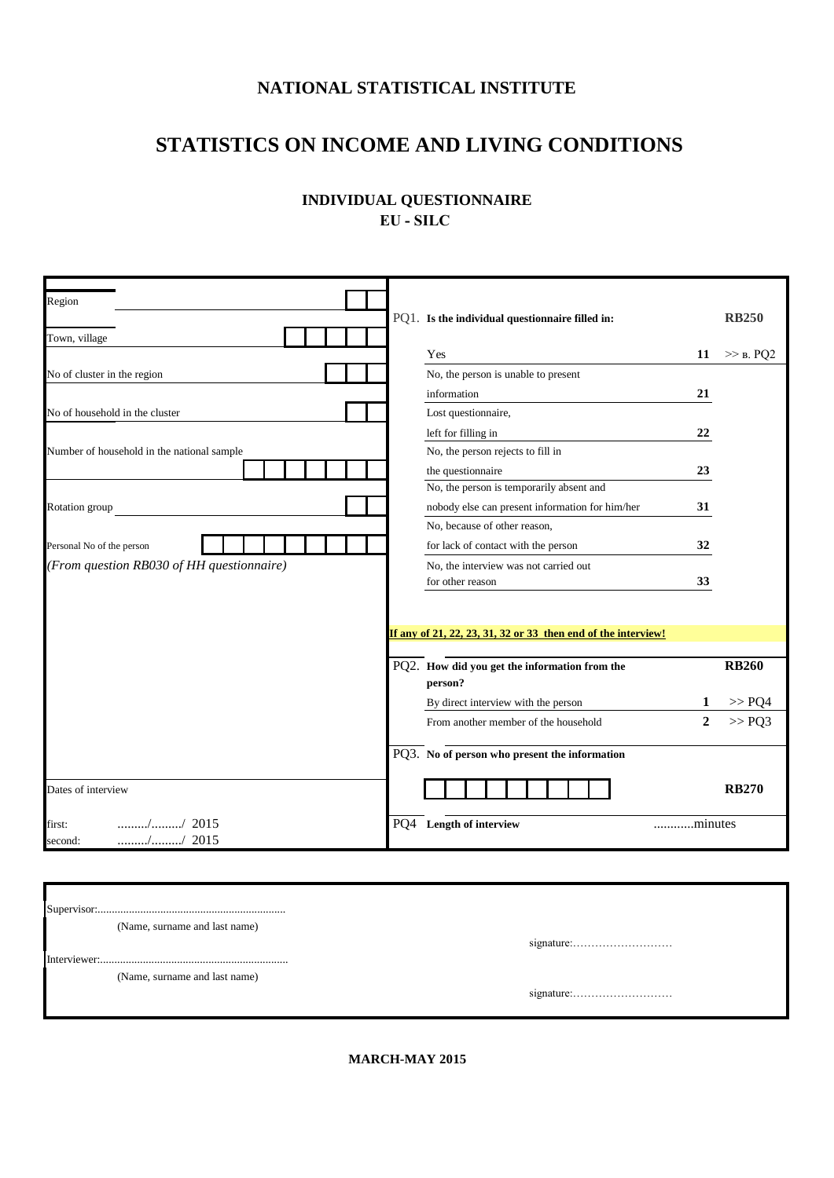## **NATIONAL STATISTICAL INSTITUTE**

## **STATISTICS ON INCOME AND LIVING CONDITIONS**

| <b>INDIVIDUAL QUESTIONNAIRE</b> |  |
|---------------------------------|--|
| EU - SILC                       |  |
|                                 |  |

| Region                                                                            |                                                               |                          |
|-----------------------------------------------------------------------------------|---------------------------------------------------------------|--------------------------|
|                                                                                   | PQ1. Is the individual questionnaire filled in:               | <b>RB250</b>             |
| Town, village                                                                     | Yes                                                           | 11                       |
|                                                                                   |                                                               | $\gg$ B. PQ2             |
| No of cluster in the region                                                       | No, the person is unable to present                           |                          |
|                                                                                   | information                                                   | 21                       |
| No of household in the cluster                                                    | Lost questionnaire,                                           |                          |
|                                                                                   | left for filling in                                           | 22                       |
| Number of household in the national sample                                        | No, the person rejects to fill in                             |                          |
|                                                                                   | the questionnaire                                             | 23                       |
|                                                                                   | No, the person is temporarily absent and                      |                          |
| Rotation group                                                                    | nobody else can present information for him/her               | 31                       |
|                                                                                   | No, because of other reason,                                  |                          |
| Personal No of the person                                                         | for lack of contact with the person                           | 32                       |
| (From question RB030 of HH questionnaire)                                         | No, the interview was not carried out                         |                          |
|                                                                                   | for other reason                                              | 33                       |
|                                                                                   |                                                               |                          |
|                                                                                   |                                                               |                          |
|                                                                                   | If any of 21, 22, 23, 31, 32 or 33 then end of the interview! |                          |
|                                                                                   |                                                               |                          |
|                                                                                   | PQ2. How did you get the information from the                 | <b>RB260</b>             |
|                                                                                   | person?                                                       |                          |
|                                                                                   | By direct interview with the person                           | $>>$ PO4                 |
|                                                                                   | From another member of the household                          | $\overline{2}$<br>>> PQ3 |
|                                                                                   | PQ3. No of person who present the information                 |                          |
| Dates of interview                                                                |                                                               | <b>RB270</b>             |
| $\ldots \ldots \ldots \ldots \ldots \ldots \ldots \ldots \ldots$ / 2015<br>first: | PO4<br>Length of interview                                    | minutes                  |
| $\ldots$ // 2015<br>second:                                                       |                                                               |                          |

|              | (Name, surname and last name) |            |
|--------------|-------------------------------|------------|
|              |                               | signature: |
| Interviewer: |                               |            |
|              | (Name, surname and last name) |            |
|              |                               |            |
|              |                               |            |

**MARCH-MAY 2015**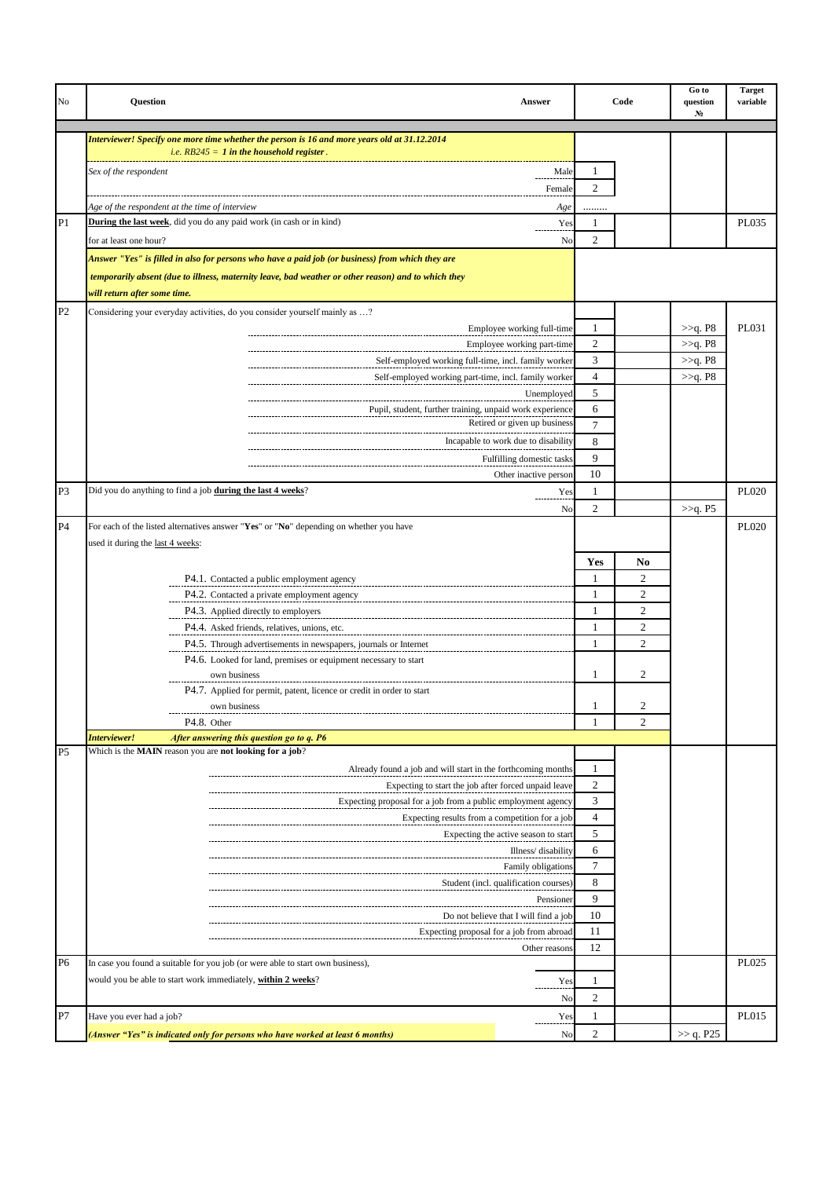| No             | <b>Ouestion</b><br><b>Answer</b>                                                                    |      |                     | Code           | Go to<br>question<br>N <sub>2</sub> | <b>Target</b><br>variable |
|----------------|-----------------------------------------------------------------------------------------------------|------|---------------------|----------------|-------------------------------------|---------------------------|
|                | Interviewer! Specify one more time whether the person is 16 and more years old at 31.12.2014        |      |                     |                |                                     |                           |
|                | <i>i.e.</i> $RB245 = 1$ in the household register.                                                  |      |                     |                |                                     |                           |
|                | Sex of the respondent                                                                               | Male | 1                   |                |                                     |                           |
|                | Female                                                                                              |      | 2                   |                |                                     |                           |
|                | Age of the respondent at the time of interview                                                      | Age  |                     |                |                                     |                           |
| P1             | <b>During the last week</b> , did you do any paid work (in cash or in kind)                         | Yes  | 1                   |                |                                     | PL035                     |
|                | for at least one hour?                                                                              | No   | 2                   |                |                                     |                           |
|                | Answer "Yes" is filled in also for persons who have a paid job (or business) from which they are    |      |                     |                |                                     |                           |
|                |                                                                                                     |      |                     |                |                                     |                           |
|                | temporarily absent (due to illness, maternity leave, bad weather or other reason) and to which they |      |                     |                |                                     |                           |
|                | will return after some time.                                                                        |      |                     |                |                                     |                           |
| P <sub>2</sub> | Considering your everyday activities, do you consider yourself mainly as ?                          |      |                     |                |                                     | PL031                     |
|                | Employee working full-time                                                                          |      | 1<br>$\mathfrak{2}$ |                | >>q. P8<br>>>q. P8                  |                           |
|                | Employee working part-time<br>Self-employed working full-time, incl. family worker                  |      | 3                   |                | >>q. P8                             |                           |
|                | Self-employed working part-time, incl. family worker                                                |      | $\overline{4}$      |                | >>q. P8                             |                           |
|                | Unemployed                                                                                          |      | 5                   |                |                                     |                           |
|                | Pupil, student, further training, unpaid work experience                                            |      | 6                   |                |                                     |                           |
|                | Retired or given up business                                                                        |      | $\overline{7}$      |                |                                     |                           |
|                | Incapable to work due to disability                                                                 |      | 8                   |                |                                     |                           |
|                | Fulfilling domestic tasks                                                                           |      | 9                   |                |                                     |                           |
|                | Other inactive person                                                                               |      | 10                  |                |                                     |                           |
| P3             | Did you do anything to find a job during the last 4 weeks?                                          | Yes  | 1                   |                |                                     | PL020                     |
|                |                                                                                                     | No   | $\overline{c}$      |                | >>q. P5                             |                           |
| <b>P4</b>      | For each of the listed alternatives answer "Yes" or "No" depending on whether you have              |      |                     |                |                                     | <b>PL020</b>              |
|                | used it during the last 4 weeks:                                                                    |      |                     |                |                                     |                           |
|                |                                                                                                     |      | Yes                 | N <sub>0</sub> |                                     |                           |
|                | P4.1. Contacted a public employment agency                                                          |      | 1                   | 2              |                                     |                           |
|                | P4.2. Contacted a private employment agency                                                         |      | 1                   | $\overline{c}$ |                                     |                           |
|                | P4.3. Applied directly to employers                                                                 |      | 1                   | $\overline{2}$ |                                     |                           |
|                | P4.4. Asked friends, relatives, unions, etc.                                                        |      | 1                   | $\overline{2}$ |                                     |                           |
|                | P4.5. Through advertisements in newspapers, journals or Internet                                    |      | $\mathbf{1}$        | $\overline{2}$ |                                     |                           |
|                | P4.6. Looked for land, premises or equipment necessary to start                                     |      |                     |                |                                     |                           |
|                | own business                                                                                        |      | 1                   | 2              |                                     |                           |
|                | P4.7. Applied for permit, patent, licence or credit in order to start                               |      |                     |                |                                     |                           |
|                | own business                                                                                        |      |                     |                |                                     |                           |
|                | P4.8. Other                                                                                         |      | 1                   | 2              |                                     |                           |
|                | After answering this question go to q. P6<br>Interviewer!                                           |      |                     |                |                                     |                           |
| P <sub>5</sub> | Which is the MAIN reason you are not looking for a job?                                             |      |                     |                |                                     |                           |
|                | Already found a job and will start in the forthcoming months                                        |      | 1                   |                |                                     |                           |
|                | Expecting to start the job after forced unpaid leave                                                |      | $\boldsymbol{2}$    |                |                                     |                           |
|                | Expecting proposal for a job from a public employment agency                                        |      | 3                   |                |                                     |                           |
|                | Expecting results from a competition for a job                                                      |      | $\overline{4}$      |                |                                     |                           |
|                | Expecting the active season to start                                                                |      | 5                   |                |                                     |                           |
|                | Illness/disability                                                                                  |      | 6                   |                |                                     |                           |
|                | Family obligations                                                                                  |      | 7                   |                |                                     |                           |
|                | Student (incl. qualification courses)                                                               |      | 8                   |                |                                     |                           |
|                | Pensioner                                                                                           |      | 9                   |                |                                     |                           |
|                | Do not believe that I will find a job                                                               |      | 10                  |                |                                     |                           |
|                | Expecting proposal for a job from abroad                                                            |      | 11<br>12            |                |                                     |                           |
| P <sub>6</sub> | Other reasons<br>In case you found a suitable for you job (or were able to start own business),     |      |                     |                |                                     | PL025                     |
|                | would you be able to start work immediately, within 2 weeks?                                        |      | 1                   |                |                                     |                           |
|                |                                                                                                     | Yes  |                     |                |                                     |                           |
|                |                                                                                                     | No   | $\overline{c}$      |                |                                     |                           |
| P7             | Have you ever had a job?                                                                            | Yes  | 1                   |                |                                     | PL015                     |
|                | (Answer "Yes" is indicated only for persons who have worked at least 6 months)                      | No   | 2                   |                | >> q. P25                           |                           |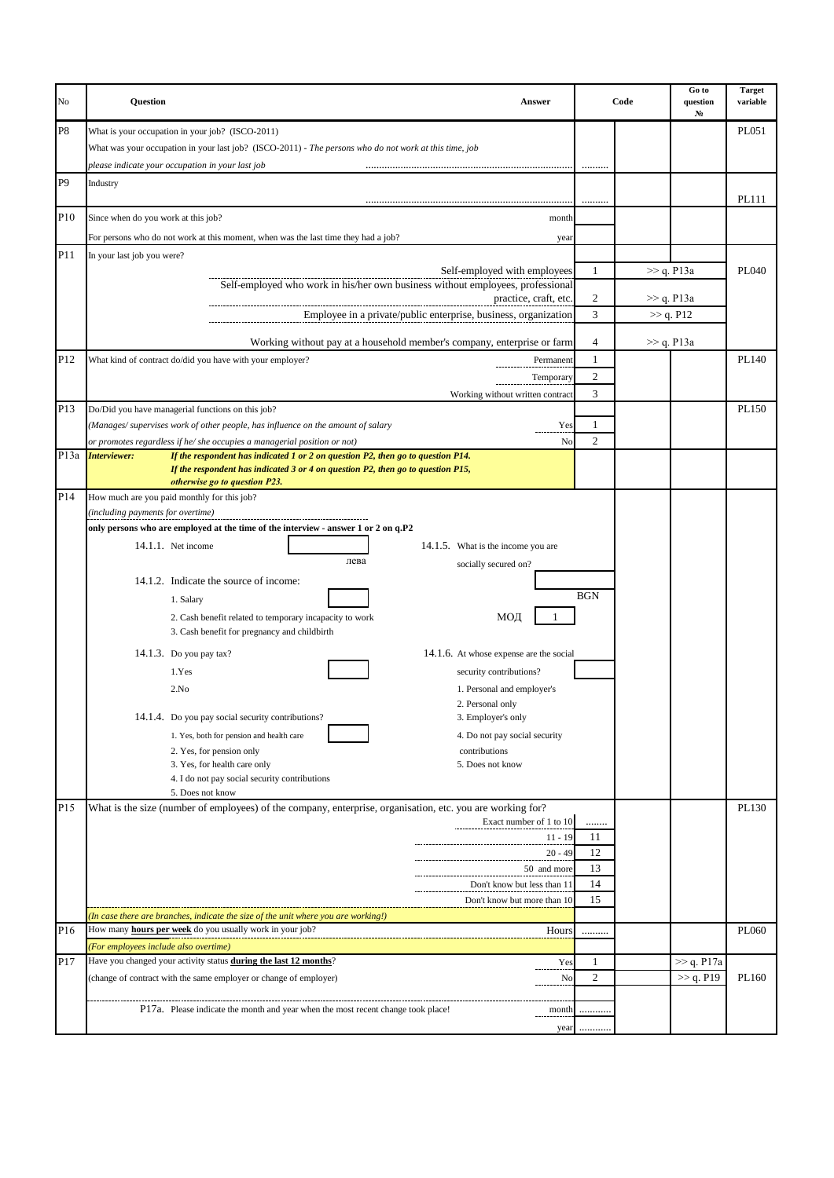| No              | Question<br>Answer                                                                                                                                                                                                         |                  | Code          | Go to<br>question<br>N <sub>2</sub> | <b>Target</b><br>variable |
|-----------------|----------------------------------------------------------------------------------------------------------------------------------------------------------------------------------------------------------------------------|------------------|---------------|-------------------------------------|---------------------------|
| P8              | What is your occupation in your job? (ISCO-2011)<br>What was your occupation in your last job? (ISCO-2011) - The persons who do not work at this time, job                                                                 |                  |               |                                     | PL051                     |
|                 | please indicate your occupation in your last job                                                                                                                                                                           |                  |               |                                     |                           |
| P <sub>9</sub>  | Industry                                                                                                                                                                                                                   |                  |               |                                     | PL111                     |
| P10             | Since when do you work at this job?<br>month                                                                                                                                                                               |                  |               |                                     |                           |
|                 | For persons who do not work at this moment, when was the last time they had a job?<br>year                                                                                                                                 |                  |               |                                     |                           |
| P11             | In your last job you were?                                                                                                                                                                                                 |                  |               |                                     |                           |
|                 | Self-employed with employees<br>Self-employed who work in his/her own business without employees, professional                                                                                                             | 1                | $\gg$ q. P13a |                                     | PL040                     |
|                 | practice, craft, etc.<br>Employee in a private/public enterprise, business, organization                                                                                                                                   | 2<br>3           |               | >> q. P13a<br>>> q. P12             |                           |
|                 | Working without pay at a household member's company, enterprise or farm                                                                                                                                                    | 4                |               | $\gg$ q. P13a                       |                           |
| P12             | What kind of contract do/did you have with your employer?<br>Permanent                                                                                                                                                     | $\mathbf{1}$     |               |                                     | PL140                     |
|                 | Temporary                                                                                                                                                                                                                  | 2                |               |                                     |                           |
|                 | Working without written contract                                                                                                                                                                                           | 3                |               |                                     |                           |
| P <sub>13</sub> | Do/Did you have managerial functions on this job?                                                                                                                                                                          |                  |               |                                     | PL150                     |
|                 | (Manages/supervises work of other people, has influence on the amount of salary<br>Yes                                                                                                                                     | 1                |               |                                     |                           |
|                 | No<br>or promotes regardless if he/ she occupies a managerial position or not)                                                                                                                                             | 2                |               |                                     |                           |
| P13a            | <b>Interviewer:</b><br>If the respondent has indicated 1 or 2 on question P2, then go to question P14.<br>If the respondent has indicated 3 or 4 on question P2, then go to question P15,<br>otherwise go to question P23. |                  |               |                                     |                           |
| P14             | How much are you paid monthly for this job?                                                                                                                                                                                |                  |               |                                     |                           |
|                 | (including payments for overtime)                                                                                                                                                                                          |                  |               |                                     |                           |
|                 | only persons who are employed at the time of the interview - answer 1 or 2 on q.P2                                                                                                                                         |                  |               |                                     |                           |
|                 | 14.1.1. Net income<br>14.1.5. What is the income you are                                                                                                                                                                   |                  |               |                                     |                           |
|                 | лева<br>socially secured on?                                                                                                                                                                                               |                  |               |                                     |                           |
|                 | 14.1.2. Indicate the source of income:                                                                                                                                                                                     |                  |               |                                     |                           |
|                 | 1. Salary                                                                                                                                                                                                                  | <b>BGN</b>       |               |                                     |                           |
|                 | МОД<br>2. Cash benefit related to temporary incapacity to work<br>3. Cash benefit for pregnancy and childbirth                                                                                                             |                  |               |                                     |                           |
|                 | 14.1.6. At whose expense are the social<br>14.1.3. Do you pay tax?                                                                                                                                                         |                  |               |                                     |                           |
|                 | 1.Yes<br>security contributions?                                                                                                                                                                                           |                  |               |                                     |                           |
|                 | 2.No<br>1. Personal and employer's                                                                                                                                                                                         |                  |               |                                     |                           |
|                 | 2. Personal only                                                                                                                                                                                                           |                  |               |                                     |                           |
|                 | 14.1.4. Do you pay social security contributions?<br>3. Employer's only                                                                                                                                                    |                  |               |                                     |                           |
|                 | 1. Yes, both for pension and health care<br>4. Do not pay social security<br>2. Yes, for pension only<br>contributions                                                                                                     |                  |               |                                     |                           |
|                 | 3. Yes, for health care only<br>5. Does not know                                                                                                                                                                           |                  |               |                                     |                           |
|                 | 4. I do not pay social security contributions                                                                                                                                                                              |                  |               |                                     |                           |
| P15             | 5. Does not know                                                                                                                                                                                                           |                  |               |                                     | PL130                     |
|                 | What is the size (number of employees) of the company, enterprise, organisation, etc. you are working for?<br>Exact number of 1 to 10                                                                                      |                  |               |                                     |                           |
|                 | $11 - 19$                                                                                                                                                                                                                  | 11               |               |                                     |                           |
|                 | $20 - 49$                                                                                                                                                                                                                  | 12               |               |                                     |                           |
|                 | 50 and more                                                                                                                                                                                                                | 13               |               |                                     |                           |
|                 | Don't know but less than 11                                                                                                                                                                                                | 14               |               |                                     |                           |
|                 | Don't know but more than 10                                                                                                                                                                                                | 15               |               |                                     |                           |
|                 | (In case there are branches, indicate the size of the unit where you are working!)                                                                                                                                         |                  |               |                                     |                           |
| P16             | How many <b>hours per week</b> do you usually work in your job?<br>Hours                                                                                                                                                   |                  |               |                                     | PL060                     |
| P17             | (For employees include also overtime)<br>Have you changed your activity status during the last 12 months?<br>Yes                                                                                                           | 1                |               | >> q. P17a                          |                           |
|                 | (change of contract with the same employer or change of employer)<br>No                                                                                                                                                    | $\boldsymbol{2}$ |               | >> q. P19                           | PL160                     |
|                 |                                                                                                                                                                                                                            |                  |               |                                     |                           |
|                 | P17a. Please indicate the month and year when the most recent change took place!<br>month                                                                                                                                  | .                |               |                                     |                           |
|                 |                                                                                                                                                                                                                            | year             |               |                                     |                           |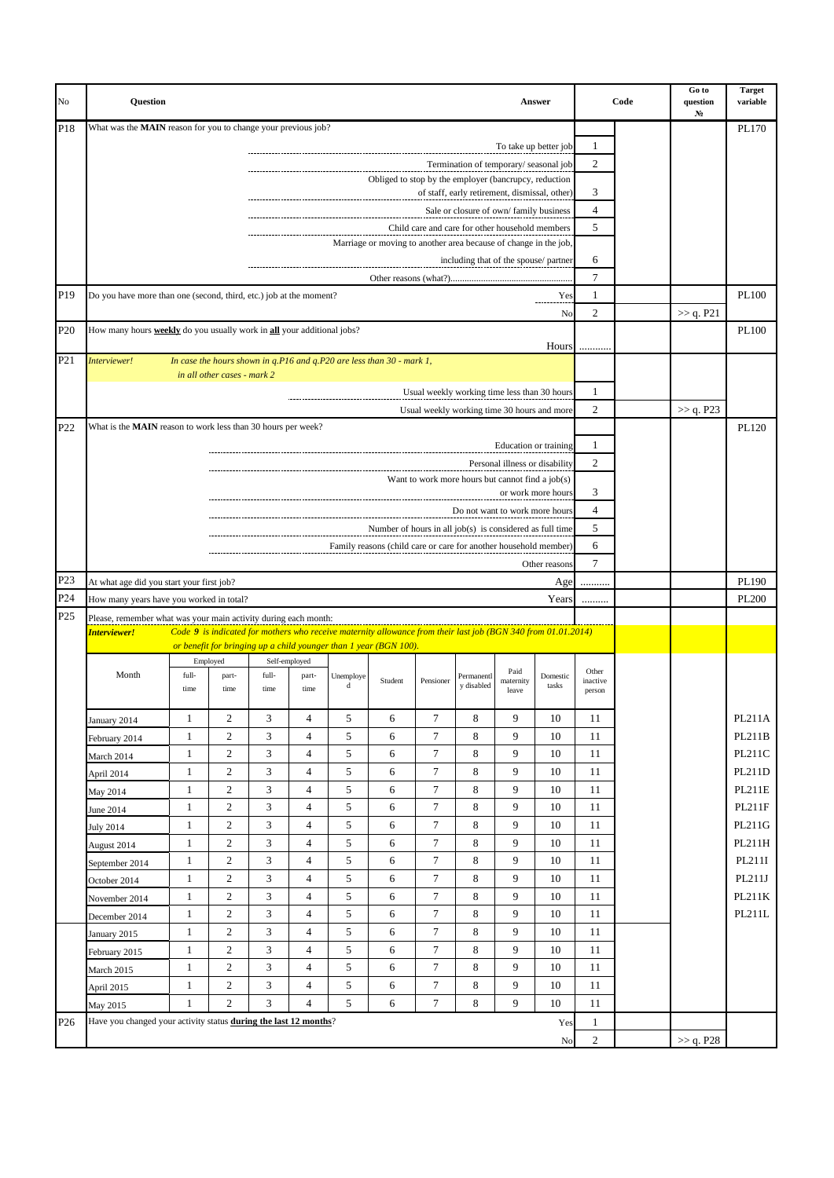| No              | <b>Ouestion</b>                                                                                                      |                              |                       |                |                     |                 |                                                                                                               |                                                                                             |                                               |                                | Answer                |                    | Code | Go to<br>question<br>N <sub>2</sub> | <b>Target</b><br>variable |
|-----------------|----------------------------------------------------------------------------------------------------------------------|------------------------------|-----------------------|----------------|---------------------|-----------------|---------------------------------------------------------------------------------------------------------------|---------------------------------------------------------------------------------------------|-----------------------------------------------|--------------------------------|-----------------------|--------------------|------|-------------------------------------|---------------------------|
| P18             | What was the MAIN reason for you to change your previous job?                                                        |                              |                       |                |                     |                 |                                                                                                               |                                                                                             |                                               |                                |                       |                    |      |                                     | PL170                     |
|                 |                                                                                                                      |                              |                       |                |                     |                 |                                                                                                               |                                                                                             |                                               |                                | To take up better job | 1                  |      |                                     |                           |
|                 |                                                                                                                      |                              |                       |                |                     |                 | Obliged to stop by the employer (bancrupcy, reduction                                                         |                                                                                             | Termination of temporary/seasonal job         |                                |                       | 2                  |      |                                     |                           |
|                 |                                                                                                                      |                              |                       |                |                     |                 |                                                                                                               |                                                                                             | of staff, early retirement, dismissal, other) |                                |                       | 3                  |      |                                     |                           |
|                 |                                                                                                                      |                              |                       |                |                     |                 |                                                                                                               |                                                                                             | Sale or closure of own/family business        |                                |                       | $\overline{4}$     |      |                                     |                           |
|                 |                                                                                                                      |                              |                       |                |                     |                 |                                                                                                               | Child care and care for other household members                                             |                                               |                                |                       | 5                  |      |                                     |                           |
|                 |                                                                                                                      |                              |                       |                |                     |                 | Marriage or moving to another area because of change in the job,                                              |                                                                                             |                                               |                                |                       |                    |      |                                     |                           |
|                 |                                                                                                                      |                              |                       |                |                     |                 |                                                                                                               |                                                                                             | including that of the spouse/partner          |                                |                       | 6                  |      |                                     |                           |
| P19             |                                                                                                                      |                              |                       |                |                     |                 |                                                                                                               |                                                                                             |                                               |                                | Yes                   | 7<br>$\mathbf{1}$  |      |                                     | PL100                     |
|                 | Do you have more than one (second, third, etc.) job at the moment?                                                   |                              |                       |                |                     |                 |                                                                                                               |                                                                                             |                                               |                                | No                    | 2                  |      | >> q. P21                           |                           |
| P <sub>20</sub> | How many hours <b>weekly</b> do you usually work in <b>all</b> your additional jobs?                                 |                              |                       |                |                     |                 |                                                                                                               |                                                                                             |                                               |                                |                       |                    |      |                                     | PL100                     |
|                 |                                                                                                                      |                              |                       |                |                     |                 | Hours                                                                                                         |                                                                                             |                                               |                                |                       |                    |      |                                     |                           |
| P <sub>21</sub> | Interviewer!<br>In case the hours shown in q.P16 and q.P20 are less than 30 - mark 1,<br>in all other cases - mark 2 |                              |                       |                |                     |                 |                                                                                                               |                                                                                             |                                               |                                |                       |                    |      |                                     |                           |
|                 |                                                                                                                      |                              |                       |                |                     |                 |                                                                                                               |                                                                                             |                                               |                                |                       |                    |      |                                     |                           |
|                 |                                                                                                                      |                              |                       |                |                     |                 |                                                                                                               | Usual weekly working time less than 30 hours<br>Usual weekly working time 30 hours and more |                                               |                                |                       | 1<br>2             |      | >> q. P23                           |                           |
| P22             | What is the MAIN reason to work less than 30 hours per week?                                                         |                              |                       |                |                     |                 |                                                                                                               |                                                                                             |                                               |                                |                       |                    |      |                                     | PL120                     |
|                 |                                                                                                                      |                              |                       |                |                     |                 |                                                                                                               |                                                                                             |                                               |                                | Education or training | 1                  |      |                                     |                           |
|                 |                                                                                                                      |                              |                       |                |                     |                 |                                                                                                               |                                                                                             |                                               | Personal illness or disability |                       | $\mathfrak{2}$     |      |                                     |                           |
|                 |                                                                                                                      |                              |                       |                |                     |                 |                                                                                                               | Want to work more hours but cannot find a job(s)                                            |                                               |                                |                       |                    |      |                                     |                           |
|                 |                                                                                                                      |                              |                       |                |                     |                 |                                                                                                               |                                                                                             |                                               |                                | or work more hours    | 3                  |      |                                     |                           |
|                 |                                                                                                                      |                              |                       |                |                     |                 |                                                                                                               |                                                                                             | Do not want to work more hours                |                                |                       | $\overline{4}$     |      |                                     |                           |
|                 |                                                                                                                      |                              |                       |                |                     |                 | Number of hours in all job(s) is considered as full time                                                      |                                                                                             |                                               |                                |                       | 5                  |      |                                     |                           |
|                 |                                                                                                                      |                              |                       |                |                     |                 | Family reasons (child care or care for another household member)                                              |                                                                                             |                                               |                                |                       | 6                  |      |                                     |                           |
| P <sub>23</sub> | At what age did you start your first job?                                                                            |                              |                       |                |                     |                 |                                                                                                               |                                                                                             |                                               |                                | Other reasons<br>Age  | 7<br>              |      |                                     | PL190                     |
| P <sub>24</sub> | How many years have you worked in total?                                                                             |                              |                       |                |                     |                 |                                                                                                               |                                                                                             |                                               |                                | Years                 |                    |      |                                     | PL200                     |
| P <sub>25</sub> | Please, remember what was your main activity during each month:                                                      |                              |                       |                |                     |                 |                                                                                                               |                                                                                             |                                               |                                |                       |                    |      |                                     |                           |
|                 | <mark>Interviewer!</mark>                                                                                            |                              |                       |                |                     |                 | Code 9 is indicated for mothers who receive maternity allowance from their last job (BGN 340 from 01.01.2014) |                                                                                             |                                               |                                |                       |                    |      |                                     |                           |
|                 |                                                                                                                      |                              | Employed              |                | Self-employed       |                 | or benefit for bringing up a child younger than 1 year (BGN 100).                                             |                                                                                             |                                               |                                |                       |                    |      |                                     |                           |
|                 | Month                                                                                                                | full-                        | part-                 | full-          | part-               | Unemploye       | Student                                                                                                       | Pensioner                                                                                   | Permanentl                                    | Paid<br>maternity              | Domestic              | Other              |      |                                     |                           |
|                 |                                                                                                                      | time                         | time                  | time           | time                | d               |                                                                                                               |                                                                                             | y disabled                                    | leave                          | tasks                 | inactive<br>person |      |                                     |                           |
|                 |                                                                                                                      | $\mathbf{1}$                 | 2                     | 3              | 4                   | $\sqrt{5}$      | 6                                                                                                             | 7                                                                                           | 8                                             | 9                              | 10                    | 11                 |      |                                     | PL211A                    |
|                 | January 2014<br>February 2014                                                                                        | $\mathbf{1}$                 | $\overline{c}$        | 3              | $\overline{4}$      | $\sqrt{5}$      | 6                                                                                                             | $\boldsymbol{7}$                                                                            | 8                                             | 9                              | 10                    | 11                 |      |                                     | PL211B                    |
|                 | March 2014                                                                                                           | $\mathbf{1}$                 | $\sqrt{2}$            | 3              | 4                   | $\sqrt{5}$      | 6                                                                                                             | $\overline{7}$                                                                              | 8                                             | 9                              | 10                    | 11                 |      |                                     | PL211C                    |
|                 | April 2014                                                                                                           | $\mathbf{1}$                 | $\boldsymbol{2}$      | 3              | 4                   | $\sqrt{5}$      | 6                                                                                                             | $\overline{7}$                                                                              | 8                                             | 9                              | 10                    | 11                 |      |                                     | PL211D                    |
|                 | May 2014                                                                                                             | $\mathbf{1}$                 | 2                     | 3              | 4                   | $\sqrt{5}$      | 6                                                                                                             | $\overline{7}$                                                                              | 8                                             | 9                              | 10                    | 11                 |      |                                     | <b>PL211E</b>             |
|                 | June 2014                                                                                                            | $\mathbf{1}$                 | $\boldsymbol{2}$      | 3              | $\overline{4}$      | $\sqrt{5}$      | 6                                                                                                             | $\tau$                                                                                      | 8                                             | 9                              | 10                    | 11                 |      |                                     | PL211F                    |
|                 | July 2014                                                                                                            | $\mathbf{1}$                 | $\overline{c}$        | 3              | 4                   | 5               | 6                                                                                                             | $\overline{7}$                                                                              | 8                                             | 9                              | 10                    | 11                 |      |                                     | PL211G                    |
|                 | August 2014                                                                                                          | 1                            | $\boldsymbol{2}$      | $\mathfrak{Z}$ | 4                   | $\sqrt{5}$      | 6                                                                                                             | $\overline{7}$                                                                              | 8                                             | 9                              | 10                    | 11                 |      |                                     | PL211H                    |
|                 | September 2014                                                                                                       | $\mathbf{1}$                 | 2                     | 3              | $\overline{4}$      | $\sqrt{5}$      | 6                                                                                                             | 7                                                                                           | 8                                             | 9                              | 10                    | 11                 |      |                                     | PL211I                    |
|                 | October 2014                                                                                                         | $\mathbf{1}$                 | $\overline{c}$        | 3              | $\overline{4}$      | $\sqrt{5}$      | 6                                                                                                             | $\tau$                                                                                      | 8                                             | 9                              | 10                    | 11                 |      |                                     | PL211J                    |
|                 | November 2014                                                                                                        | $\mathbf{1}$                 | 2                     | 3              | 4                   | 5               | 6                                                                                                             | 7                                                                                           | 8                                             | 9                              | 10                    | 11                 |      |                                     | PL211K                    |
|                 | December 2014                                                                                                        | $\mathbf{1}$                 | $\overline{c}$        | 3              | $\overline{4}$      | $\sqrt{5}$      | 6                                                                                                             | $\overline{7}$                                                                              | 8                                             | 9                              | 10                    | 11                 |      |                                     | PL211L                    |
|                 | January 2015                                                                                                         | $\mathbf{1}$                 | 2                     | 3              | 4                   | $\sqrt{5}$      | 6                                                                                                             | $\overline{7}$                                                                              | 8                                             | 9                              | 10                    | 11                 |      |                                     |                           |
|                 | February 2015                                                                                                        | $\mathbf{1}$                 | $\boldsymbol{2}$      | 3              | $\overline{4}$      | $\sqrt{5}$      | 6                                                                                                             | $\tau$                                                                                      | 8                                             | 9                              | 10                    | 11                 |      |                                     |                           |
|                 | March 2015                                                                                                           | $\mathbf{1}$<br>$\mathbf{1}$ | 2<br>$\boldsymbol{2}$ | 3<br>3         | 4<br>$\overline{4}$ | 5<br>$\sqrt{5}$ | 6<br>6                                                                                                        | $\overline{7}$<br>$\tau$                                                                    | 8<br>8                                        | 9<br>9                         | 10<br>10              | 11<br>11           |      |                                     |                           |
|                 | April 2015                                                                                                           | 1                            | $\overline{c}$        | 3              | 4                   | 5               | 6                                                                                                             | $\tau$                                                                                      | 8                                             | 9                              | 10                    | 11                 |      |                                     |                           |
| P <sub>26</sub> | May 2015<br>Have you changed your activity status during the last 12 months?                                         |                              |                       |                |                     |                 |                                                                                                               |                                                                                             |                                               |                                | Yes                   | $\mathbf{1}$       |      |                                     |                           |
|                 |                                                                                                                      |                              |                       |                |                     |                 |                                                                                                               |                                                                                             |                                               |                                | No                    | $\overline{2}$     |      | $>>$ q. P28                         |                           |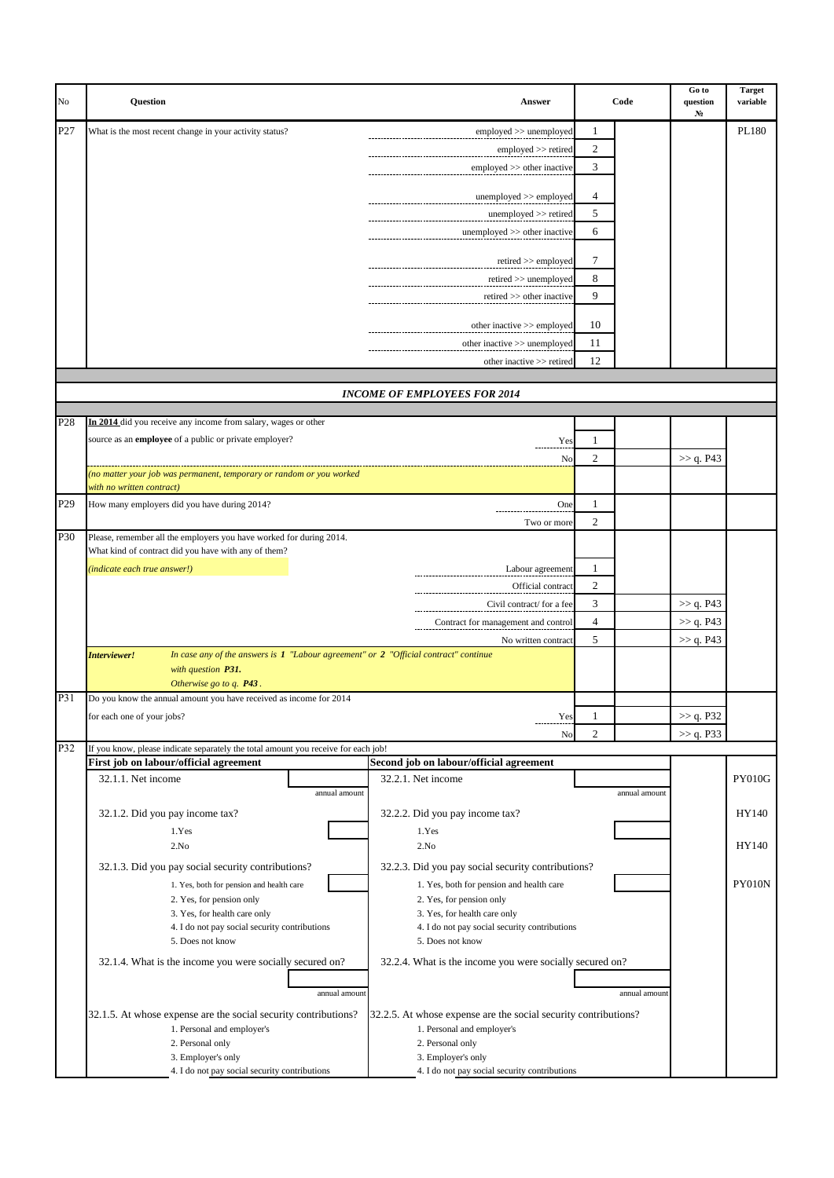| No  | Question                                                                                                                       | Answer                                                                        |                | Code          | Go to<br>question<br>N <sub>2</sub> | <b>Target</b><br>variable |
|-----|--------------------------------------------------------------------------------------------------------------------------------|-------------------------------------------------------------------------------|----------------|---------------|-------------------------------------|---------------------------|
| P27 | What is the most recent change in your activity status?                                                                        | employed >> unemployed                                                        | 1              |               |                                     | PL180                     |
|     |                                                                                                                                | employed >> retired                                                           | 2              |               |                                     |                           |
|     |                                                                                                                                | employed >> other inactive                                                    | 3              |               |                                     |                           |
|     |                                                                                                                                |                                                                               |                |               |                                     |                           |
|     |                                                                                                                                | unemployed >> employed                                                        | 4              |               |                                     |                           |
|     |                                                                                                                                | unemployed >> retired                                                         | 5              |               |                                     |                           |
|     |                                                                                                                                | unemployed >> other inactive                                                  | 6              |               |                                     |                           |
|     |                                                                                                                                | retired >> employed                                                           | 7              |               |                                     |                           |
|     |                                                                                                                                | $retired \gg$ unemployed                                                      | 8              |               |                                     |                           |
|     |                                                                                                                                | retired >> other inactive                                                     | 9              |               |                                     |                           |
|     |                                                                                                                                |                                                                               |                |               |                                     |                           |
|     |                                                                                                                                | other inactive >> employed                                                    | 10             |               |                                     |                           |
|     |                                                                                                                                | other inactive >> unemployed                                                  | 11             |               |                                     |                           |
|     |                                                                                                                                | other inactive >> retired                                                     | 12             |               |                                     |                           |
|     |                                                                                                                                | <b>INCOME OF EMPLOYEES FOR 2014</b>                                           |                |               |                                     |                           |
|     |                                                                                                                                |                                                                               |                |               |                                     |                           |
| P28 | In 2014 did you receive any income from salary, wages or other                                                                 |                                                                               |                |               |                                     |                           |
|     | source as an employee of a public or private employer?                                                                         | Yes                                                                           | 1              |               |                                     |                           |
|     |                                                                                                                                | No                                                                            | $\overline{c}$ |               | >> q. P43                           |                           |
|     | (no matter your job was permanent, temporary or random or you worked                                                           |                                                                               |                |               |                                     |                           |
|     | with no written contract)                                                                                                      |                                                                               |                |               |                                     |                           |
| P29 | $\mathbf{1}$<br>How many employers did you have during 2014?<br>One                                                            |                                                                               |                |               |                                     |                           |
| P30 | Please, remember all the employers you have worked for during 2014.                                                            | Two or more                                                                   | 2              |               |                                     |                           |
|     | What kind of contract did you have with any of them?                                                                           |                                                                               |                |               |                                     |                           |
|     | (indicate each true answer!)                                                                                                   | Labour agreement                                                              | 1              |               |                                     |                           |
|     |                                                                                                                                | Official contract                                                             | $\mathfrak{2}$ |               |                                     |                           |
|     |                                                                                                                                | Civil contract/ for a fee                                                     | 3              |               | >> q. P43                           |                           |
|     |                                                                                                                                | Contract for management and control                                           | 4              |               | >> q. P43                           |                           |
|     |                                                                                                                                | No written contract                                                           | 5              |               | >> q. P43                           |                           |
|     | In case any of the answers is $1$ "Labour agreement" or $2$ "Official contract" continue<br>Interviewer!<br>with question P31. |                                                                               |                |               |                                     |                           |
|     | Otherwise go to q. P43.                                                                                                        |                                                                               |                |               |                                     |                           |
| P31 | Do you know the annual amount you have received as income for 2014                                                             |                                                                               |                |               |                                     |                           |
|     | for each one of your jobs?                                                                                                     | Yes                                                                           |                |               | >> q. P32                           |                           |
|     |                                                                                                                                | No                                                                            | 2              |               | >> q. P33                           |                           |
| P32 | If you know, please indicate separately the total amount you receive for each job!<br>First job on labour/official agreement   | Second job on labour/official agreement                                       |                |               |                                     |                           |
|     | 32.1.1. Net income                                                                                                             | 32.2.1. Net income                                                            |                |               |                                     | <b>PY010G</b>             |
|     | annual amount                                                                                                                  |                                                                               |                | annual amount |                                     |                           |
|     | 32.1.2. Did you pay income tax?                                                                                                | 32.2.2. Did you pay income tax?                                               |                |               |                                     | HY140                     |
|     | 1.Yes                                                                                                                          | 1.Yes                                                                         |                |               |                                     |                           |
|     | 2.No                                                                                                                           | 2.No                                                                          |                |               |                                     | HY140                     |
|     | 32.1.3. Did you pay social security contributions?                                                                             | 32.2.3. Did you pay social security contributions?                            |                |               |                                     |                           |
|     | 1. Yes, both for pension and health care                                                                                       | 1. Yes, both for pension and health care                                      |                |               |                                     | <b>PY010N</b>             |
|     | 2. Yes, for pension only                                                                                                       | 2. Yes, for pension only                                                      |                |               |                                     |                           |
|     | 3. Yes, for health care only<br>4. I do not pay social security contributions                                                  | 3. Yes, for health care only<br>4. I do not pay social security contributions |                |               |                                     |                           |
|     | 5. Does not know                                                                                                               | 5. Does not know                                                              |                |               |                                     |                           |
|     | 32.1.4. What is the income you were socially secured on?                                                                       | 32.2.4. What is the income you were socially secured on?                      |                |               |                                     |                           |
|     |                                                                                                                                |                                                                               |                |               |                                     |                           |
|     | annual amount                                                                                                                  |                                                                               |                | annual amount |                                     |                           |
|     | 32.1.5. At whose expense are the social security contributions?                                                                | 32.2.5. At whose expense are the social security contributions?               |                |               |                                     |                           |
|     | 1. Personal and employer's                                                                                                     | 1. Personal and employer's                                                    |                |               |                                     |                           |
|     | 2. Personal only                                                                                                               | 2. Personal only                                                              |                |               |                                     |                           |
|     | 3. Employer's only<br>4. I do not pay social security contributions                                                            | 3. Employer's only<br>4. I do not pay social security contributions           |                |               |                                     |                           |
|     |                                                                                                                                |                                                                               |                |               |                                     |                           |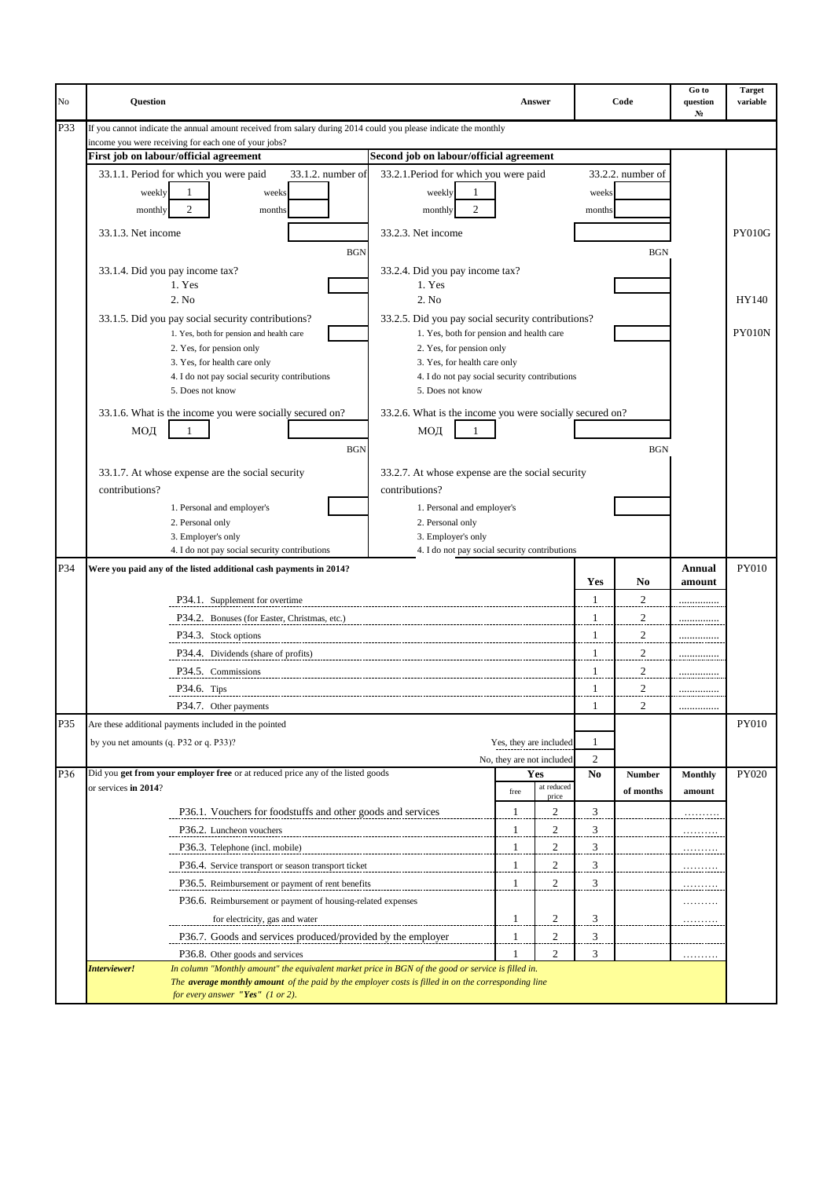| No  | <b>Question</b>                                                                                                                            |                                                                   |              | Answer                    |                | Code              | Go to<br>question<br>N <sub>2</sub> | <b>Target</b><br>variable |
|-----|--------------------------------------------------------------------------------------------------------------------------------------------|-------------------------------------------------------------------|--------------|---------------------------|----------------|-------------------|-------------------------------------|---------------------------|
| P33 | If you cannot indicate the annual amount received from salary during 2014 could you please indicate the monthly                            |                                                                   |              |                           |                |                   |                                     |                           |
|     | income you were receiving for each one of your jobs?<br>First job on labour/official agreement<br>Second job on labour/official agreement  |                                                                   |              |                           |                |                   |                                     |                           |
|     | 33.1.2. number of<br>33.1.1. Period for which you were paid<br>33.2.1. Period for which you were paid                                      |                                                                   |              |                           |                | 33.2.2. number of |                                     |                           |
|     | 1<br>weeks<br>weekly                                                                                                                       | weekly<br>1                                                       |              |                           | weeks          |                   |                                     |                           |
|     | $\overline{c}$<br>monthly<br>monthly<br>months                                                                                             | $\overline{c}$                                                    |              |                           | months         |                   |                                     |                           |
|     |                                                                                                                                            |                                                                   |              |                           |                |                   |                                     |                           |
|     | 33.1.3. Net income<br>33.2.3. Net income                                                                                                   |                                                                   |              |                           |                |                   |                                     | <b>PY010G</b>             |
|     | <b>BGN</b>                                                                                                                                 |                                                                   |              |                           |                | <b>BGN</b>        |                                     |                           |
|     | 33.2.4. Did you pay income tax?<br>33.1.4. Did you pay income tax?                                                                         |                                                                   |              |                           |                |                   |                                     |                           |
|     | 1. Yes<br>1. Yes<br>2. No<br>2. No                                                                                                         |                                                                   |              |                           |                |                   |                                     | HY140                     |
|     | 33.1.5. Did you pay social security contributions?<br>33.2.5. Did you pay social security contributions?                                   |                                                                   |              |                           |                |                   |                                     |                           |
|     | 1. Yes, both for pension and health care                                                                                                   | 1. Yes, both for pension and health care                          |              |                           |                |                   |                                     | PY010N                    |
|     | 2. Yes, for pension only                                                                                                                   | 2. Yes, for pension only                                          |              |                           |                |                   |                                     |                           |
|     | 3. Yes, for health care only                                                                                                               | 3. Yes, for health care only                                      |              |                           |                |                   |                                     |                           |
|     | 4. I do not pay social security contributions<br>5. Does not know                                                                          | 4. I do not pay social security contributions<br>5. Does not know |              |                           |                |                   |                                     |                           |
|     |                                                                                                                                            |                                                                   |              |                           |                |                   |                                     |                           |
|     | 33.2.6. What is the income you were socially secured on?<br>33.1.6. What is the income you were socially secured on?                       |                                                                   |              |                           |                |                   |                                     |                           |
|     | МОД<br>МОД                                                                                                                                 |                                                                   |              |                           |                |                   |                                     |                           |
|     | <b>BGN</b>                                                                                                                                 |                                                                   |              |                           |                | <b>BGN</b>        |                                     |                           |
|     | 33.1.7. At whose expense are the social security<br>33.2.7. At whose expense are the social security                                       |                                                                   |              |                           |                |                   |                                     |                           |
|     | contributions?<br>contributions?                                                                                                           |                                                                   |              |                           |                |                   |                                     |                           |
|     | 1. Personal and employer's                                                                                                                 | 1. Personal and employer's                                        |              |                           |                |                   |                                     |                           |
|     | 2. Personal only                                                                                                                           | 2. Personal only                                                  |              |                           |                |                   |                                     |                           |
|     | 3. Employer's only                                                                                                                         | 3. Employer's only                                                |              |                           |                |                   |                                     |                           |
| P34 | 4. I do not pay social security contributions<br>Were you paid any of the listed additional cash payments in 2014?                         | 4. I do not pay social security contributions                     |              |                           |                |                   | <b>Annual</b>                       | <b>PY010</b>              |
|     |                                                                                                                                            |                                                                   |              |                           | <b>Yes</b>     | No                | amount                              |                           |
|     | P34.1. Supplement for overtime                                                                                                             |                                                                   |              |                           | $\mathbf{1}$   | $\overline{c}$    | .                                   |                           |
|     | P34.2. Bonuses (for Easter, Christmas, etc.)                                                                                               |                                                                   |              |                           | 1              | $\overline{2}$    | .                                   |                           |
|     | P34.3. Stock options                                                                                                                       |                                                                   |              |                           | 1              | 2                 |                                     |                           |
|     | P34.4. Dividends (share of profits)                                                                                                        |                                                                   |              |                           | 1              | 2                 |                                     |                           |
|     | P34.5. Commissions                                                                                                                         |                                                                   |              |                           | 1              | $\overline{c}$    |                                     |                           |
|     | P34.6. Tips                                                                                                                                |                                                                   |              |                           | 1              | $\overline{2}$    |                                     |                           |
|     | P34.7. Other payments                                                                                                                      |                                                                   |              |                           | 1              | $\mathfrak{D}$    |                                     |                           |
| P35 | Are these additional payments included in the pointed                                                                                      |                                                                   |              |                           |                |                   |                                     | <b>PY010</b>              |
|     | by you net amounts (q. P32 or q. P33)?                                                                                                     |                                                                   |              | Yes, they are included    | 1              |                   |                                     |                           |
|     |                                                                                                                                            |                                                                   |              | No, they are not included | 2              |                   |                                     |                           |
| P36 | Did you get from your employer free or at reduced price any of the listed goods                                                            |                                                                   |              | Yes                       | N <sub>0</sub> | <b>Number</b>     | <b>Monthly</b>                      | PY020                     |
|     | or services in 2014?                                                                                                                       |                                                                   | free         | at reduced<br>price       |                | of months         | amount                              |                           |
|     | P36.1. Vouchers for foodstuffs and other goods and services                                                                                |                                                                   | 1            | $\overline{2}$            | 3              |                   | .                                   |                           |
|     | P36.2. Luncheon vouchers                                                                                                                   |                                                                   | 1            | 2                         | 3              |                   | . <u>.</u>                          |                           |
|     | P36.3. Telephone (incl. mobile)                                                                                                            |                                                                   | 1            | 2                         | 3              |                   | .                                   |                           |
|     | P36.4. Service transport or season transport ticket                                                                                        |                                                                   | $\mathbf{1}$ | $\boldsymbol{2}$          | 3              |                   | .                                   |                           |
|     | P36.5. Reimbursement or payment of rent benefits                                                                                           |                                                                   | $\mathbf{1}$ | $\overline{c}$            | 3              |                   | .                                   |                           |
|     | P36.6. Reimbursement or payment of housing-related expenses                                                                                |                                                                   |              |                           |                |                   | .                                   |                           |
|     | for electricity, gas and water                                                                                                             |                                                                   | 1            | $\overline{c}$            | 3              |                   | .                                   |                           |
|     | P36.7. Goods and services produced/provided by the employer                                                                                |                                                                   | $\mathbf{1}$ | $\mathfrak{2}$            | 3              |                   |                                     |                           |
|     | P36.8. Other goods and services                                                                                                            |                                                                   | -1           | $\overline{2}$            | 3              |                   | .                                   |                           |
|     | In column "Monthly amount" the equivalent market price in BGN of the good or service is filled in.<br>Interviewer!                         |                                                                   |              |                           |                |                   |                                     |                           |
|     | The average monthly amount of the paid by the employer costs is filled in on the corresponding line<br>for every answer "Yes" $(1 or 2)$ . |                                                                   |              |                           |                |                   |                                     |                           |
|     |                                                                                                                                            |                                                                   |              |                           |                |                   |                                     |                           |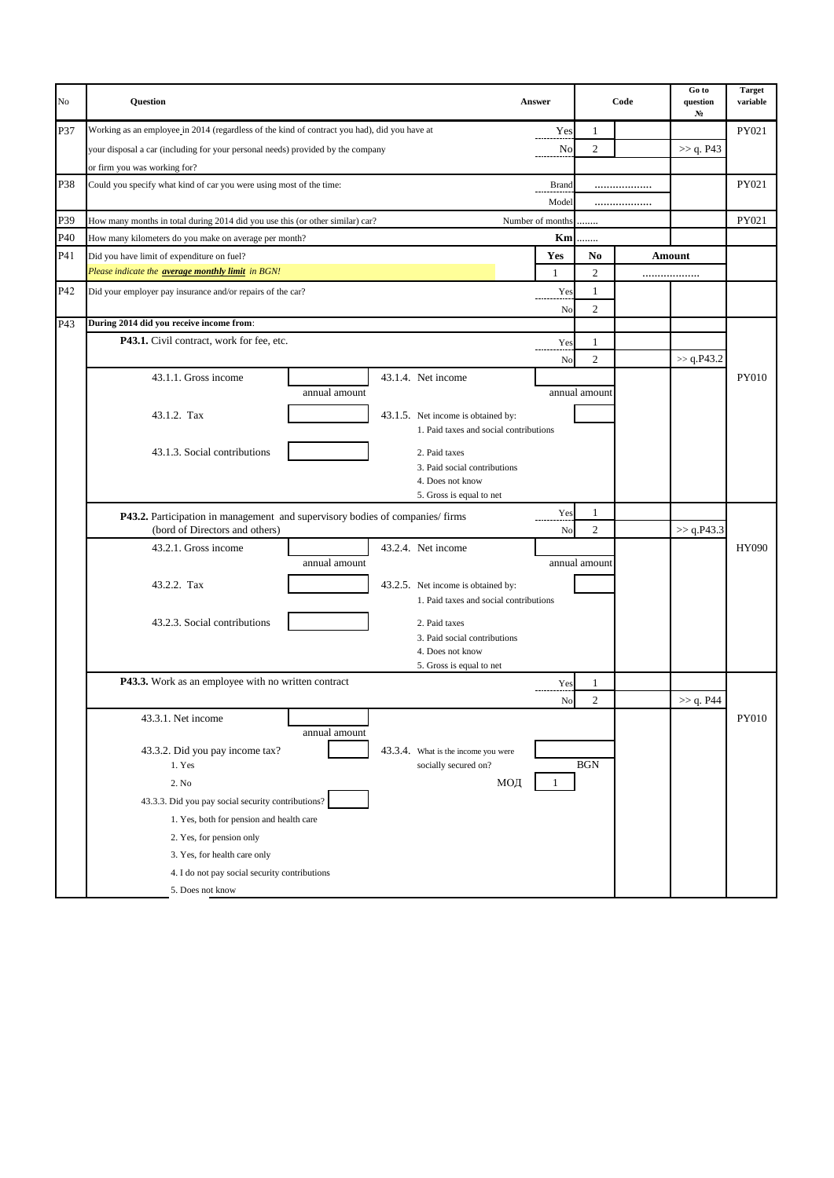| No  | Question                                                                                     |                                    |                                               | Answer           |                | Code | Go to<br>question<br>N <sub>2</sub> | <b>Target</b><br>variable |
|-----|----------------------------------------------------------------------------------------------|------------------------------------|-----------------------------------------------|------------------|----------------|------|-------------------------------------|---------------------------|
| P37 | Working as an employee in 2014 (regardless of the kind of contract you had), did you have at |                                    |                                               | Yes              | 1              |      |                                     | PY021                     |
|     | your disposal a car (including for your personal needs) provided by the company              |                                    |                                               | No               | $\mathbf{2}$   |      | >> q. P43                           |                           |
|     | or firm you was working for?                                                                 |                                    |                                               |                  |                |      |                                     |                           |
| P38 | Could you specify what kind of car you were using most of the time:                          |                                    |                                               | Brand            |                |      |                                     | PY021                     |
|     |                                                                                              |                                    |                                               | Model            |                |      |                                     |                           |
| P39 | How many months in total during 2014 did you use this (or other similar) car?                |                                    |                                               | Number of months |                |      |                                     | PY021                     |
| P40 | How many kilometers do you make on average per month?                                        |                                    |                                               | Km               | .              |      |                                     |                           |
| P41 | Did you have limit of expenditure on fuel?                                                   |                                    |                                               | Yes              | No             |      | Amount                              |                           |
|     | Please indicate the <b>average monthly limit</b> in BGN!                                     |                                    |                                               | $\mathbf{1}$     | $\mathfrak{2}$ |      |                                     |                           |
| P42 | Did your employer pay insurance and/or repairs of the car?                                   |                                    |                                               | Yes              | 1              |      |                                     |                           |
|     |                                                                                              |                                    |                                               | No               | $\overline{2}$ |      |                                     |                           |
| P43 | During 2014 did you receive income from:                                                     |                                    |                                               |                  |                |      |                                     |                           |
|     | P43.1. Civil contract, work for fee, etc.                                                    |                                    |                                               | Yes              | 1              |      |                                     |                           |
|     |                                                                                              |                                    |                                               | No               | $\overline{2}$ |      | $>>$ q.P43.2                        |                           |
|     | 43.1.1. Gross income                                                                         |                                    | 43.1.4. Net income                            |                  |                |      |                                     | PY010                     |
|     | annual amount                                                                                |                                    |                                               | annual amount    |                |      |                                     |                           |
|     | 43.1.2. Tax                                                                                  | 43.1.5. Net income is obtained by: |                                               |                  |                |      |                                     |                           |
|     |                                                                                              |                                    | 1. Paid taxes and social contributions        |                  |                |      |                                     |                           |
|     |                                                                                              |                                    |                                               |                  |                |      |                                     |                           |
|     | 43.1.3. Social contributions                                                                 |                                    | 2. Paid taxes<br>3. Paid social contributions |                  |                |      |                                     |                           |
|     |                                                                                              |                                    | 4. Does not know                              |                  |                |      |                                     |                           |
|     |                                                                                              |                                    | 5. Gross is equal to net                      |                  |                |      |                                     |                           |
|     | P43.2. Participation in management and supervisory bodies of companies/firms                 |                                    |                                               | Yes              | 1              |      |                                     |                           |
|     | (bord of Directors and others)                                                               |                                    |                                               | No               | $\mathfrak{2}$ |      | >> q.P43.3                          |                           |
|     | 43.2.1. Gross income                                                                         |                                    | 43.2.4. Net income                            |                  |                |      |                                     | <b>HY090</b>              |
|     | annual amount                                                                                |                                    |                                               |                  | annual amount  |      |                                     |                           |
|     | 43.2.2. Tax                                                                                  |                                    | 43.2.5. Net income is obtained by:            |                  |                |      |                                     |                           |
|     |                                                                                              |                                    | 1. Paid taxes and social contributions        |                  |                |      |                                     |                           |
|     | 43.2.3. Social contributions                                                                 |                                    |                                               |                  |                |      |                                     |                           |
|     |                                                                                              |                                    | 2. Paid taxes<br>3. Paid social contributions |                  |                |      |                                     |                           |
|     |                                                                                              |                                    | 4. Does not know                              |                  |                |      |                                     |                           |
|     |                                                                                              |                                    | 5. Gross is equal to net                      |                  |                |      |                                     |                           |
|     | P43.3. Work as an employee with no written contract                                          |                                    |                                               | Yes              | 1              |      |                                     |                           |
|     |                                                                                              |                                    |                                               | N <sub>o</sub>   | $\overline{2}$ |      | $>>$ q. P44                         |                           |
|     | 43.3.1. Net income                                                                           |                                    |                                               |                  |                |      |                                     | PY010                     |
|     | annual amount                                                                                |                                    |                                               |                  |                |      |                                     |                           |
|     | 43.3.2. Did you pay income tax?                                                              |                                    | 43.3.4. What is the income you were           |                  |                |      |                                     |                           |
|     | 1. Yes                                                                                       |                                    | socially secured on?                          |                  | $\rm BGN$      |      |                                     |                           |
|     | 2. No                                                                                        |                                    | МОД                                           |                  |                |      |                                     |                           |
|     | 43.3.3. Did you pay social security contributions?                                           |                                    |                                               |                  |                |      |                                     |                           |
|     | 1. Yes, both for pension and health care                                                     |                                    |                                               |                  |                |      |                                     |                           |
|     | 2. Yes, for pension only                                                                     |                                    |                                               |                  |                |      |                                     |                           |
|     | 3. Yes, for health care only                                                                 |                                    |                                               |                  |                |      |                                     |                           |
|     | 4. I do not pay social security contributions                                                |                                    |                                               |                  |                |      |                                     |                           |
|     | 5. Does not know                                                                             |                                    |                                               |                  |                |      |                                     |                           |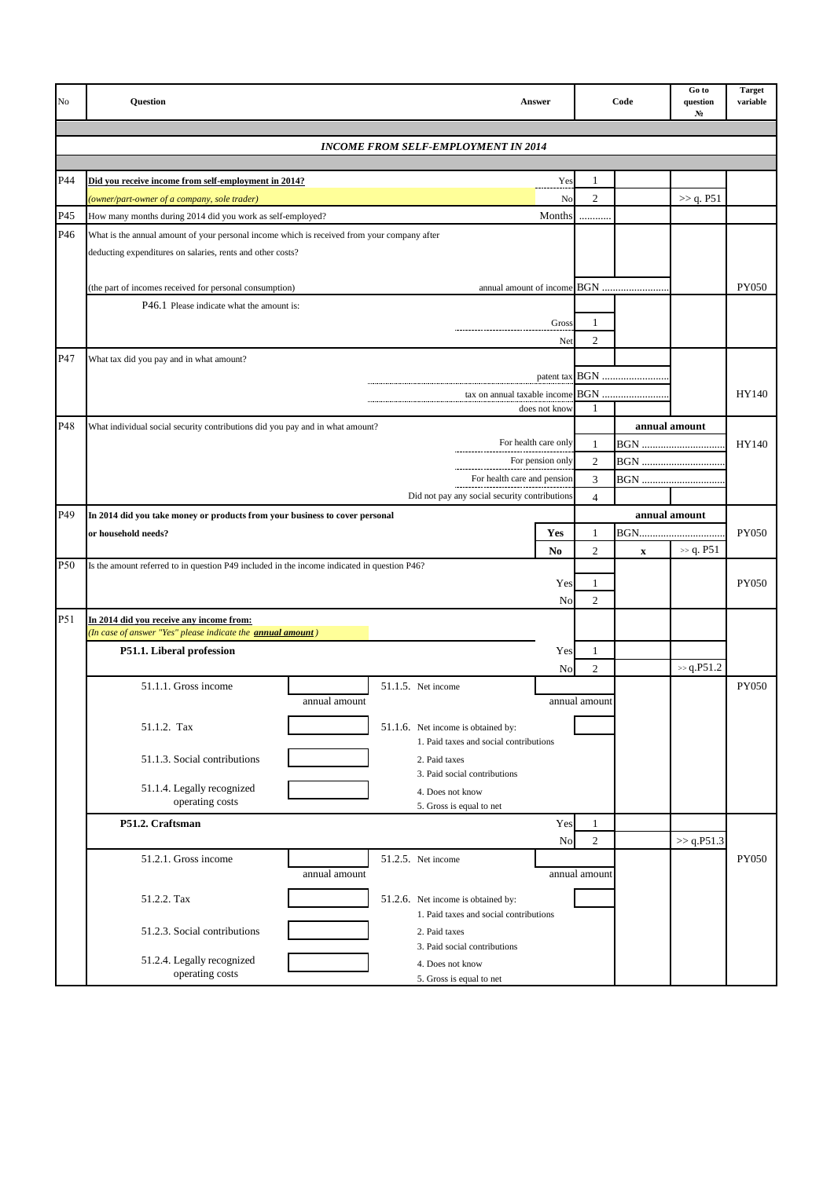| No  | <b>Ouestion</b>                                                                                                 | <b>Answer</b>                                 |                | Code                      | Go to<br>question<br>N <sub>2</sub> | <b>Target</b><br>variable |
|-----|-----------------------------------------------------------------------------------------------------------------|-----------------------------------------------|----------------|---------------------------|-------------------------------------|---------------------------|
|     | <b>INCOME FROM SELF-EMPLOYMENT IN 2014</b>                                                                      |                                               |                |                           |                                     |                           |
|     |                                                                                                                 |                                               |                |                           |                                     |                           |
| P44 | Did you receive income from self-employment in 2014?                                                            | Yes                                           | 1              |                           |                                     |                           |
|     | (owner/part-owner of a company, sole trader)                                                                    | No                                            | $\overline{c}$ |                           | >> q. P51                           |                           |
| P45 | How many months during 2014 did you work as self-employed?                                                      | Months                                        | .              |                           |                                     |                           |
| P46 | What is the annual amount of your personal income which is received from your company after                     |                                               |                |                           |                                     |                           |
|     | deducting expenditures on salaries, rents and other costs?                                                      |                                               |                |                           |                                     |                           |
|     |                                                                                                                 |                                               |                |                           |                                     |                           |
|     | (the part of incomes received for personal consumption)                                                         |                                               |                |                           |                                     | <b>PY050</b>              |
|     | P46.1 Please indicate what the amount is:                                                                       |                                               |                |                           |                                     |                           |
|     |                                                                                                                 | Gross                                         | 1              |                           |                                     |                           |
|     |                                                                                                                 | Net                                           | $\overline{2}$ |                           |                                     |                           |
| P47 | What tax did you pay and in what amount?                                                                        |                                               |                |                           |                                     |                           |
|     |                                                                                                                 |                                               |                |                           |                                     |                           |
|     |                                                                                                                 | tax on annual taxable income<br>does not know | 1              | <b>BGN</b>                |                                     | HY140                     |
| P48 | What individual social security contributions did you pay and in what amount?                                   |                                               |                |                           | annual amount                       |                           |
|     |                                                                                                                 | For health care only                          | 1              | <b>BGN</b>                |                                     | HY140                     |
|     |                                                                                                                 | $\sqrt{2}$                                    | <b>BGN</b>     |                           |                                     |                           |
|     |                                                                                                                 | For health care and pension<br>3              | <b>BGN</b>     |                           |                                     |                           |
|     |                                                                                                                 | Did not pay any social security contributions | $\overline{4}$ |                           |                                     |                           |
| P49 | In 2014 did you take money or products from your business to cover personal                                     |                                               |                |                           | annual amount                       |                           |
|     | or household needs?                                                                                             | Yes                                           | $\mathbf{1}$   | BGN                       |                                     | <b>PY050</b>              |
|     |                                                                                                                 | N <sub>0</sub>                                | $\overline{2}$ | $\boldsymbol{\mathrm{X}}$ | $\gg$ q. P51                        |                           |
| P50 | Is the amount referred to in question P49 included in the income indicated in question P46?                     |                                               |                |                           |                                     |                           |
|     |                                                                                                                 | Yes                                           | 1              |                           |                                     | <b>PY050</b>              |
|     |                                                                                                                 | No                                            | $\overline{2}$ |                           |                                     |                           |
| P51 | In 2014 did you receive any income from:<br>(In case of answer "Yes" please indicate the <b>annual amount</b> ) |                                               |                |                           |                                     |                           |
|     | P51.1. Liberal profession                                                                                       | Yes                                           | 1              |                           |                                     |                           |
|     |                                                                                                                 | No                                            | $\mathbf{2}$   |                           | $\gg$ q.P51.2                       |                           |
|     | 51.1.1. Gross income<br>51.1.5. Net income                                                                      |                                               |                |                           |                                     | PY050                     |
|     | annual amount                                                                                                   |                                               | annual amount  |                           |                                     |                           |
|     | 51.1.2. Tax                                                                                                     | 51.1.6. Net income is obtained by:            |                |                           |                                     |                           |
|     |                                                                                                                 | 1. Paid taxes and social contributions        |                |                           |                                     |                           |
|     | 51.1.3. Social contributions                                                                                    | 2. Paid taxes                                 |                |                           |                                     |                           |
|     |                                                                                                                 | 3. Paid social contributions                  |                |                           |                                     |                           |
|     | 51.1.4. Legally recognized<br>operating costs                                                                   | 4. Does not know<br>5. Gross is equal to net  |                |                           |                                     |                           |
|     | P51.2. Craftsman                                                                                                | Yes                                           | 1              |                           |                                     |                           |
|     |                                                                                                                 | No                                            | $\overline{c}$ |                           | >> q.P51.3                          |                           |
|     | 51.2.1. Gross income<br>51.2.5. Net income                                                                      |                                               |                |                           |                                     | <b>PY050</b>              |
|     | annual amount                                                                                                   |                                               | annual amount  |                           |                                     |                           |
|     | 51.2.2. Tax                                                                                                     | 51.2.6. Net income is obtained by:            |                |                           |                                     |                           |
|     |                                                                                                                 | 1. Paid taxes and social contributions        |                |                           |                                     |                           |
|     | 51.2.3. Social contributions                                                                                    | 2. Paid taxes                                 |                |                           |                                     |                           |
|     |                                                                                                                 | 3. Paid social contributions                  |                |                           |                                     |                           |
|     | 51.2.4. Legally recognized<br>operating costs                                                                   | 4. Does not know                              |                |                           |                                     |                           |
|     |                                                                                                                 | 5. Gross is equal to net                      |                |                           |                                     |                           |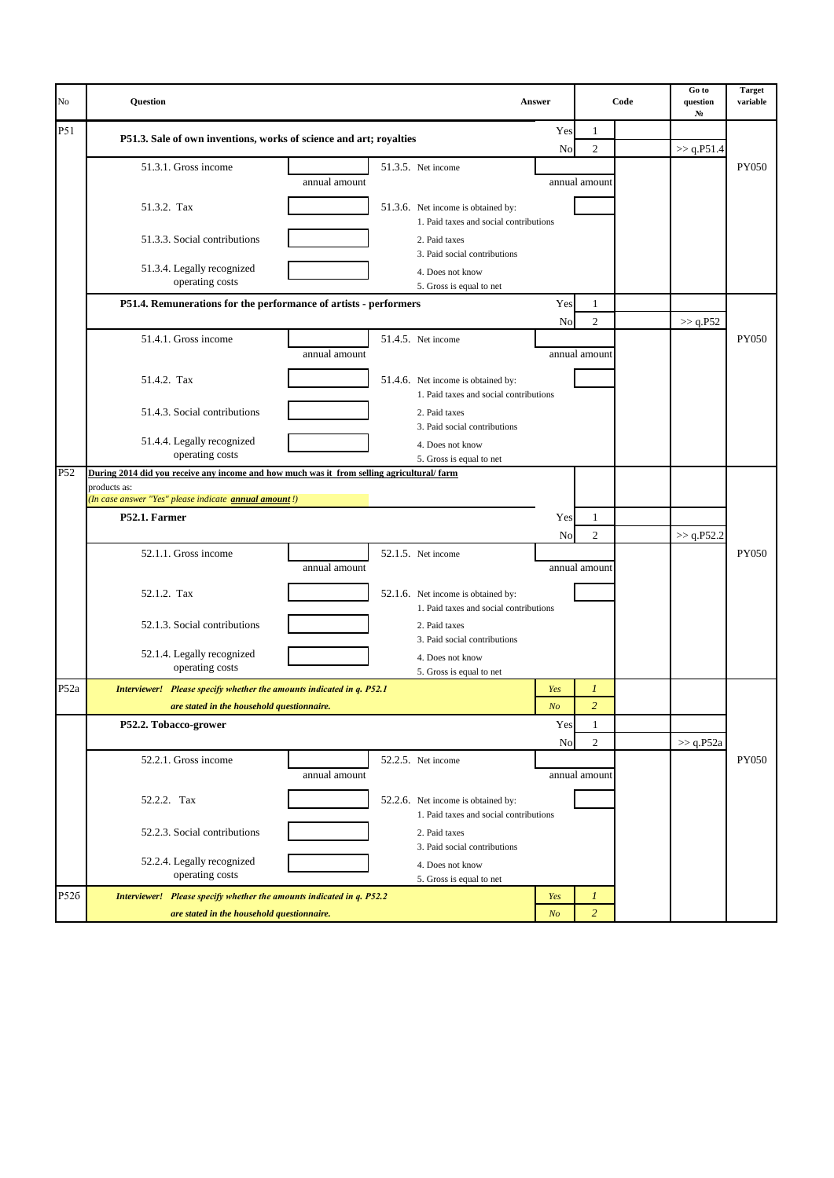| No               | Question                                                                                  |                                                                                         | <b>Answer</b>  |                  | Code | Go to<br>question<br>N <sub>2</sub> | <b>Target</b><br>variable |
|------------------|-------------------------------------------------------------------------------------------|-----------------------------------------------------------------------------------------|----------------|------------------|------|-------------------------------------|---------------------------|
| <b>P51</b>       | P51.3. Sale of own inventions, works of science and art; royalties                        |                                                                                         | Yes            | 1                |      |                                     |                           |
|                  |                                                                                           |                                                                                         | No             | 2                |      | >> q.P51.4                          |                           |
|                  | 51.3.1. Gross income                                                                      | 51.3.5. Net income<br>annual amount                                                     |                | annual amount    |      |                                     | PY050                     |
|                  | 51.3.2. Tax                                                                               | 51.3.6. Net income is obtained by:<br>1. Paid taxes and social contributions            |                |                  |      |                                     |                           |
|                  | 51.3.3. Social contributions                                                              | 2. Paid taxes<br>3. Paid social contributions                                           |                |                  |      |                                     |                           |
|                  | 51.3.4. Legally recognized<br>operating costs                                             | 4. Does not know<br>5. Gross is equal to net                                            |                |                  |      |                                     |                           |
|                  | P51.4. Remunerations for the performance of artists - performers                          |                                                                                         | Yes            | 1                |      |                                     |                           |
|                  |                                                                                           |                                                                                         | No             | $\overline{c}$   |      | >> q.P52                            |                           |
|                  | 51.4.1. Gross income                                                                      | 51.4.5. Net income<br>annual amount                                                     |                | annual amount    |      |                                     | <b>PY050</b>              |
|                  | 51.4.2. Tax                                                                               | 51.4.6. Net income is obtained by:                                                      |                |                  |      |                                     |                           |
|                  | 51.4.3. Social contributions                                                              | 1. Paid taxes and social contributions<br>2. Paid taxes<br>3. Paid social contributions |                |                  |      |                                     |                           |
|                  | 51.4.4. Legally recognized<br>operating costs                                             | 4. Does not know                                                                        |                |                  |      |                                     |                           |
| P <sub>52</sub>  | During 2014 did you receive any income and how much was it from selling agricultural/farm | 5. Gross is equal to net                                                                |                |                  |      |                                     |                           |
|                  | products as:                                                                              |                                                                                         |                |                  |      |                                     |                           |
|                  | (In case answer "Yes" please indicate <b>annual amount</b> !)                             |                                                                                         |                |                  |      |                                     |                           |
|                  | P52.1. Farmer                                                                             |                                                                                         | Yes<br>No      | 1<br>2           |      | $>>$ q.P52.2                        |                           |
|                  | 52.1.1. Gross income                                                                      | 52.1.5. Net income<br>annual amount                                                     |                | annual amount    |      |                                     | <b>PY050</b>              |
|                  | 52.1.2. Tax                                                                               | 52.1.6. Net income is obtained by:<br>1. Paid taxes and social contributions            |                |                  |      |                                     |                           |
|                  | 52.1.3. Social contributions                                                              | 2. Paid taxes<br>3. Paid social contributions                                           |                |                  |      |                                     |                           |
|                  | 52.1.4. Legally recognized<br>operating costs                                             | 4. Does not know<br>5. Gross is equal to net                                            |                |                  |      |                                     |                           |
| P <sub>52a</sub> | Interviewer! Please specify whether the amounts indicated in q. P52.1                     |                                                                                         | Yes            | $\boldsymbol{l}$ |      |                                     |                           |
|                  | are stated in the household questionnaire.                                                |                                                                                         | N <sub>O</sub> | $\overline{c}$   |      |                                     |                           |
|                  | P52.2. Tobacco-grower                                                                     |                                                                                         | Yes            | 1                |      |                                     |                           |
|                  |                                                                                           |                                                                                         | No             | 2                |      | $>>$ q.P52a                         |                           |
|                  | 52.2.1. Gross income                                                                      | 52.2.5. Net income<br>annual amount                                                     |                | annual amount    |      |                                     | PY050                     |
|                  | 52.2.2. Tax                                                                               | 52.2.6. Net income is obtained by:<br>1. Paid taxes and social contributions            |                |                  |      |                                     |                           |
|                  | 52.2.3. Social contributions                                                              | 2. Paid taxes<br>3. Paid social contributions                                           |                |                  |      |                                     |                           |
|                  | 52.2.4. Legally recognized                                                                | 4. Does not know                                                                        |                |                  |      |                                     |                           |
|                  | operating costs                                                                           | 5. Gross is equal to net                                                                |                |                  |      |                                     |                           |
| P526             | Interviewer! Please specify whether the amounts indicated in q. P52.2                     |                                                                                         | Yes            | $\boldsymbol{l}$ |      |                                     |                           |
|                  | are stated in the household questionnaire.                                                |                                                                                         | N <sub>O</sub> | $\overline{2}$   |      |                                     |                           |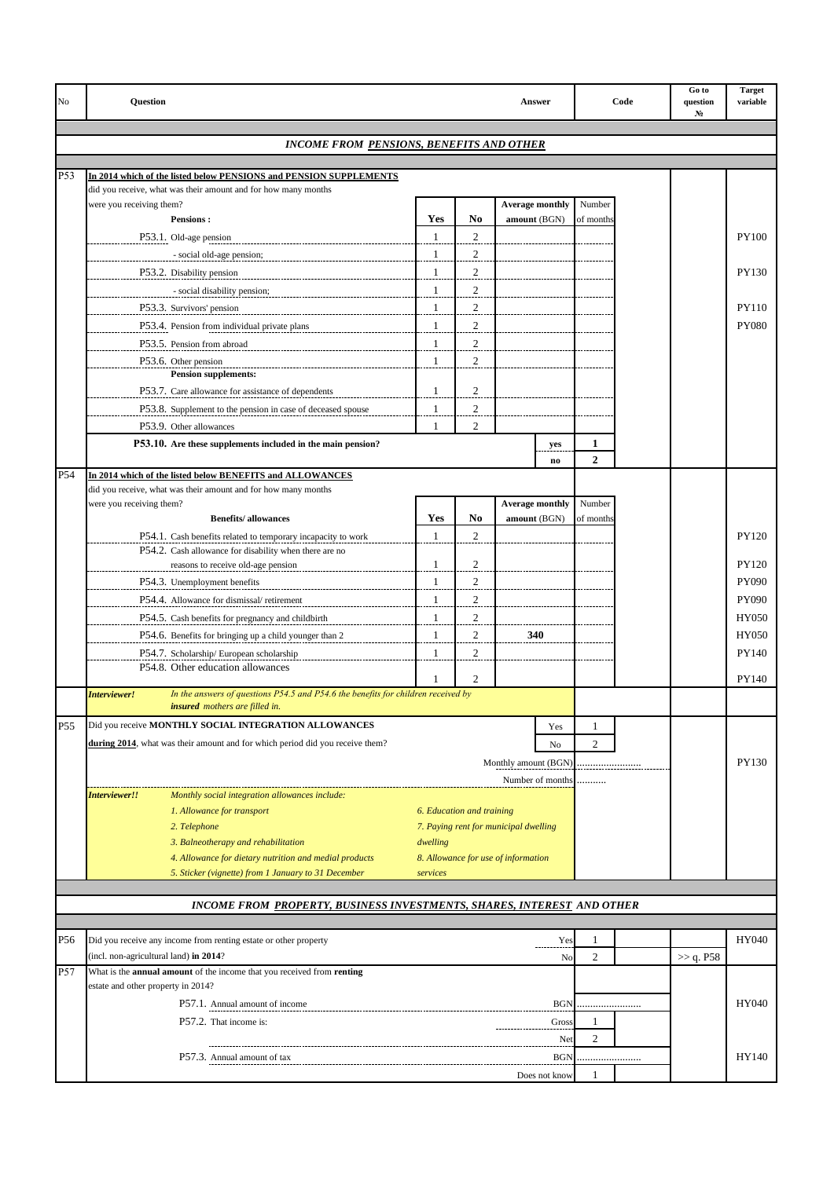| No  | <b>Question</b>                    | <b>Answer</b>                                                                                                       |               |                           |                                       |                               |                     | Code | Go to<br>question<br>N. | <b>Target</b><br>variable |
|-----|------------------------------------|---------------------------------------------------------------------------------------------------------------------|---------------|---------------------------|---------------------------------------|-------------------------------|---------------------|------|-------------------------|---------------------------|
|     |                                    |                                                                                                                     |               |                           |                                       |                               |                     |      |                         |                           |
|     |                                    | <b>INCOME FROM PENSIONS, BENEFITS AND OTHER</b>                                                                     |               |                           |                                       |                               |                     |      |                         |                           |
| P53 |                                    | In 2014 which of the listed below PENSIONS and PENSION SUPPLEMENTS                                                  |               |                           |                                       |                               |                     |      |                         |                           |
|     |                                    | did you receive, what was their amount and for how many months                                                      |               |                           |                                       |                               |                     |      |                         |                           |
|     | were you receiving them?           |                                                                                                                     |               |                           | <b>Average monthly</b>                |                               | Number              |      |                         |                           |
|     |                                    | <b>Pensions:</b>                                                                                                    | Yes           | N <sub>0</sub>            | amount (BGN)                          |                               | of months           |      |                         |                           |
|     |                                    | P53.1. Old-age pension                                                                                              | $\mathbf{1}$  | $\overline{2}$            |                                       |                               |                     |      |                         | <b>PY100</b>              |
|     |                                    | - social old-age pension;                                                                                           | $\mathbf{1}$  | $\mathfrak{2}$            |                                       |                               |                     |      |                         |                           |
|     |                                    | P53.2. Disability pension                                                                                           | $\mathbf{1}$  | $\mathfrak{2}$            |                                       |                               |                     |      |                         | PY130                     |
|     |                                    | - social disability pension;                                                                                        | 1             | $\mathfrak{2}$            |                                       |                               |                     |      |                         |                           |
|     |                                    | P53.3. Survivors' pension                                                                                           | 1             | $\overline{2}$            |                                       |                               |                     |      |                         | <b>PY110</b>              |
|     |                                    | P53.4. Pension from individual private plans                                                                        | 1             | $\overline{c}$            |                                       |                               |                     |      |                         | <b>PY080</b>              |
|     |                                    | P53.5. Pension from abroad                                                                                          | $\mathbf{1}$  | $\overline{c}$            |                                       |                               |                     |      |                         |                           |
|     |                                    | P53.6. Other pension                                                                                                | 1             | 2                         |                                       |                               |                     |      |                         |                           |
|     |                                    | <b>Pension supplements:</b>                                                                                         | 1             |                           |                                       |                               |                     |      |                         |                           |
|     |                                    | P53.7. Care allowance for assistance of dependents                                                                  | $\mathbf{1}$  | 2<br>$\overline{c}$       |                                       |                               |                     |      |                         |                           |
|     |                                    | P53.8. Supplement to the pension in case of deceased spouse                                                         | 1             | $\overline{c}$            |                                       |                               |                     |      |                         |                           |
|     |                                    | P53.9. Other allowances                                                                                             |               |                           |                                       |                               |                     |      |                         |                           |
|     |                                    | P53.10. Are these supplements included in the main pension?                                                         |               |                           |                                       | yes<br>$\mathbf{n}\mathbf{o}$ | 1<br>$\overline{2}$ |      |                         |                           |
| P54 |                                    | In 2014 which of the listed below BENEFITS and ALLOWANCES                                                           |               |                           |                                       |                               |                     |      |                         |                           |
|     |                                    | did you receive, what was their amount and for how many months                                                      |               |                           |                                       |                               |                     |      |                         |                           |
|     | were you receiving them?           |                                                                                                                     |               |                           | <b>Average monthly</b>                |                               | Number              |      |                         |                           |
|     |                                    | <b>Benefits/allowances</b>                                                                                          | Yes           | No                        | amount (BGN)                          |                               | of months           |      |                         |                           |
|     |                                    | P54.1. Cash benefits related to temporary incapacity to work                                                        | $\mathbf{1}$  | 2                         |                                       |                               |                     |      |                         | PY120                     |
|     |                                    | P54.2. Cash allowance for disability when there are no<br>reasons to receive old-age pension                        | 1             | $\overline{c}$            |                                       |                               |                     |      |                         | <b>PY120</b>              |
|     |                                    | P54.3. Unemployment benefits                                                                                        | $\mathbf{1}$  | $\mathfrak{2}$            |                                       |                               |                     |      |                         | <b>PY090</b>              |
|     |                                    |                                                                                                                     | $\mathbf{1}$  | $\sqrt{2}$                |                                       |                               |                     |      |                         | PY090                     |
|     |                                    | P54.4. Allowance for dismissal/ retirement                                                                          | 1             | $\mathfrak{2}$            |                                       |                               |                     |      |                         | HY050                     |
|     |                                    | P54.5. Cash benefits for pregnancy and childbirth                                                                   |               | $\overline{2}$            |                                       |                               |                     |      |                         |                           |
|     |                                    | P54.6. Benefits for bringing up a child younger than 2                                                              | $\mathbf{1}$  |                           | 340                                   |                               |                     |      |                         | HY050                     |
|     |                                    | P54.7. Scholarship/European scholarship<br>P54.8. Other education allowances                                        | 1             | 2                         |                                       |                               |                     |      |                         | PY140                     |
|     |                                    |                                                                                                                     |               | 2                         |                                       |                               |                     |      |                         | PY140                     |
|     | Interviewer!                       | In the answers of questions P54.5 and P54.6 the benefits for children received by<br>insured mothers are filled in. |               |                           |                                       |                               |                     |      |                         |                           |
|     |                                    | Did you receive MONTHLY SOCIAL INTEGRATION ALLOWANCES                                                               |               |                           |                                       |                               |                     |      |                         |                           |
| P55 |                                    | during 2014, what was their amount and for which period did you receive them?                                       |               |                           |                                       | Yes                           | 1                   |      |                         |                           |
|     |                                    |                                                                                                                     |               |                           |                                       | No                            | $\overline{c}$      |      |                         |                           |
|     |                                    |                                                                                                                     |               |                           | Monthly amount (BGN)                  |                               |                     |      |                         | PY130                     |
|     | Interviewer!!                      | Monthly social integration allowances include:                                                                      |               |                           | Number of months                      |                               |                     |      |                         |                           |
|     |                                    | 1. Allowance for transport                                                                                          |               | 6. Education and training |                                       |                               |                     |      |                         |                           |
|     |                                    | 2. Telephone                                                                                                        |               |                           | 7. Paying rent for municipal dwelling |                               |                     |      |                         |                           |
|     |                                    | 3. Balneotherapy and rehabilitation                                                                                 | dwelling      |                           |                                       |                               |                     |      |                         |                           |
|     |                                    | 4. Allowance for dietary nutrition and medial products                                                              |               |                           | 8. Allowance for use of information   |                               |                     |      |                         |                           |
|     |                                    | 5. Sticker (vignette) from 1 January to 31 December                                                                 | services      |                           |                                       |                               |                     |      |                         |                           |
|     |                                    |                                                                                                                     |               |                           |                                       |                               |                     |      |                         |                           |
|     |                                    | INCOME FROM PROPERTY, BUSINESS INVESTMENTS, SHARES, INTEREST AND OTHER                                              |               |                           |                                       |                               |                     |      |                         |                           |
|     |                                    |                                                                                                                     |               |                           |                                       |                               |                     |      |                         |                           |
| P56 |                                    | Did you receive any income from renting estate or other property                                                    |               |                           |                                       | Yes                           | 1                   |      |                         | HY040                     |
|     |                                    | (incl. non-agricultural land) in 2014?                                                                              |               |                           |                                       | No                            | $\overline{2}$      |      | >> q. P58               |                           |
| P57 | estate and other property in 2014? | What is the <b>annual amount</b> of the income that you received from <b>renting</b>                                |               |                           |                                       |                               |                     |      |                         |                           |
|     |                                    | P57.1. Annual amount of income                                                                                      |               |                           |                                       | <b>BGN</b>                    |                     |      |                         | HY040                     |
|     |                                    | P57.2. That income is:                                                                                              |               |                           |                                       |                               | 1                   |      |                         |                           |
|     |                                    |                                                                                                                     |               |                           |                                       | Gross                         | $\overline{c}$      |      |                         |                           |
|     |                                    |                                                                                                                     |               |                           |                                       | Net                           |                     |      |                         |                           |
|     |                                    | P57.3. Annual amount of tax                                                                                         |               |                           |                                       | <b>BGN</b>                    |                     |      |                         | HY140                     |
|     |                                    |                                                                                                                     | Does not know | 1                         |                                       |                               |                     |      |                         |                           |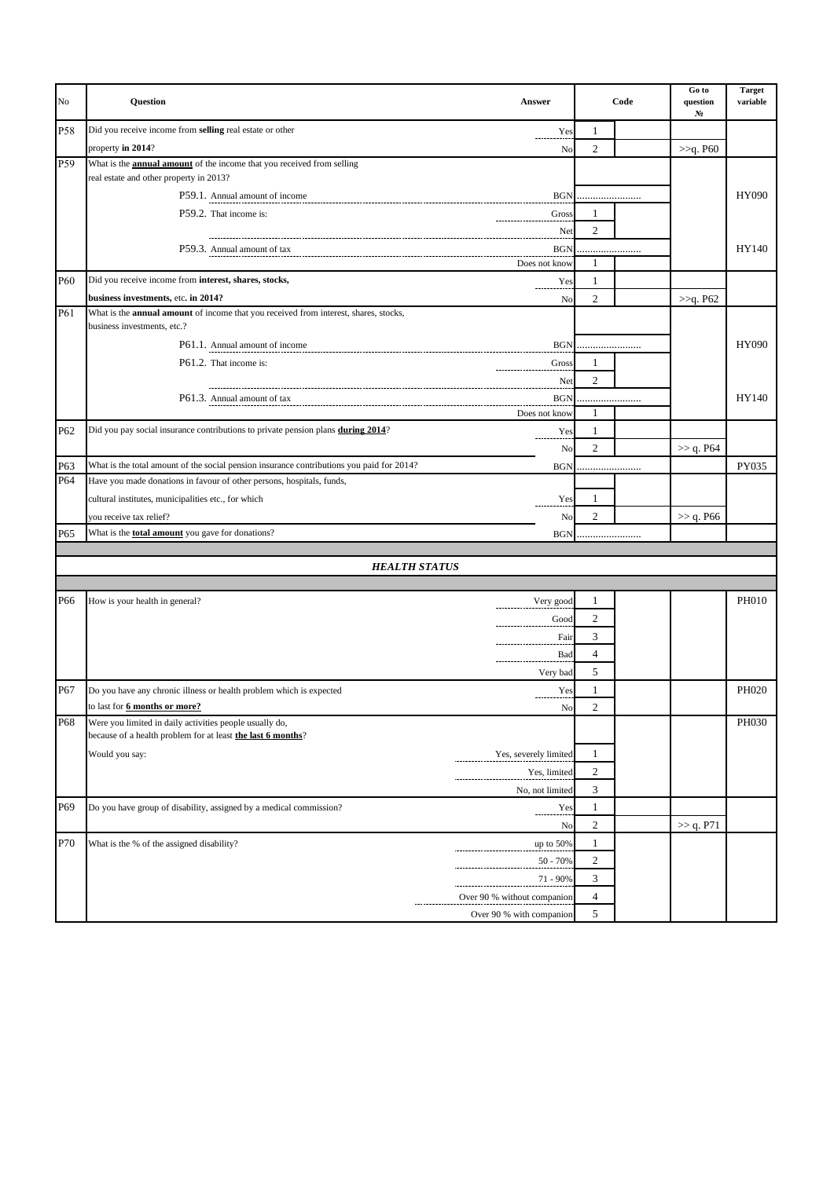| No  | Question                                                                                                                           | <b>Answer</b>               |                  | Code | Go to<br>question<br>N <sub>2</sub> | <b>Target</b><br>variable |
|-----|------------------------------------------------------------------------------------------------------------------------------------|-----------------------------|------------------|------|-------------------------------------|---------------------------|
| P58 | Did you receive income from selling real estate or other                                                                           | Yes                         | 1                |      |                                     |                           |
|     | property in 2014?                                                                                                                  | No                          | $\mathfrak{2}$   |      | >>q. P60                            |                           |
| P59 | What is the <b>annual amount</b> of the income that you received from selling                                                      |                             |                  |      |                                     |                           |
|     | real estate and other property in 2013?                                                                                            |                             |                  |      |                                     |                           |
|     | P59.1. Annual amount of income                                                                                                     | <b>BGN</b>                  |                  |      |                                     | <b>HY090</b>              |
|     | P59.2. That income is:                                                                                                             | Gross                       | 1                |      |                                     |                           |
|     |                                                                                                                                    | Net                         | $\mathfrak{2}$   |      |                                     |                           |
|     |                                                                                                                                    | <b>BGN</b>                  |                  |      |                                     | HY140                     |
|     |                                                                                                                                    | Does not know               | 1                |      |                                     |                           |
| P60 | Did you receive income from interest, shares, stocks,                                                                              | Yes                         | 1                |      |                                     |                           |
| P61 | business investments, etc. in 2014?<br>What is the <b>annual amount</b> of income that you received from interest, shares, stocks, | No                          | 2                |      | >>q. P62                            |                           |
|     | business investments, etc.?                                                                                                        |                             |                  |      |                                     |                           |
|     |                                                                                                                                    | <b>BGN</b>                  |                  |      |                                     | <b>HY090</b>              |
|     | P61.2. That income is:                                                                                                             | Gross                       | 1                |      |                                     |                           |
|     |                                                                                                                                    | Net                         | 2                |      |                                     |                           |
|     | P61.3. Annual amount of tax                                                                                                        | <b>BGN</b>                  |                  |      |                                     | HY140                     |
|     |                                                                                                                                    | Does not know               | 1                |      |                                     |                           |
| P62 | Did you pay social insurance contributions to private pension plans during 2014?                                                   | Yes                         | 1                |      |                                     |                           |
|     |                                                                                                                                    | No                          | 2                |      | >> q. P64                           |                           |
| P63 | What is the total amount of the social pension insurance contributions you paid for 2014?                                          | <b>BGN</b>                  |                  |      |                                     | PY035                     |
| P64 | Have you made donations in favour of other persons, hospitals, funds,                                                              |                             |                  |      |                                     |                           |
|     | cultural institutes, municipalities etc., for which                                                                                | Yes                         | 1                |      |                                     |                           |
|     | you receive tax relief?                                                                                                            | No                          | 2                |      | $>>$ q. P66                         |                           |
| P65 | What is the <b>total amount</b> you gave for donations?                                                                            | <b>BGN</b>                  |                  |      |                                     |                           |
|     |                                                                                                                                    |                             |                  |      |                                     |                           |
|     | <b>HEALTH STATUS</b>                                                                                                               |                             |                  |      |                                     |                           |
|     |                                                                                                                                    |                             |                  |      |                                     |                           |
| P66 | How is your health in general?                                                                                                     | Very good                   | 1                |      |                                     | <b>PH010</b>              |
|     |                                                                                                                                    | Good                        | 2                |      |                                     |                           |
|     |                                                                                                                                    | Fair                        | 3                |      |                                     |                           |
|     |                                                                                                                                    | Bad                         | 4                |      |                                     |                           |
|     |                                                                                                                                    | Very bad                    | 5                |      |                                     |                           |
| P67 | Do you have any chronic illness or health problem which is expected                                                                | Yes                         | 1                |      |                                     | PH020                     |
|     | to last for 6 months or more?                                                                                                      | No                          | $\overline{c}$   |      |                                     |                           |
| P68 | Were you limited in daily activities people usually do,                                                                            |                             |                  |      |                                     | PH030                     |
|     | because of a health problem for at least the last 6 months?                                                                        |                             |                  |      |                                     |                           |
|     | Would you say:                                                                                                                     | Yes, severely limited       | 1                |      |                                     |                           |
|     |                                                                                                                                    | Yes, limited                | $\boldsymbol{2}$ |      |                                     |                           |
|     |                                                                                                                                    | No, not limited             | 3                |      |                                     |                           |
| P69 | Do you have group of disability, assigned by a medical commission?                                                                 | Yes                         | $\mathbf{1}$     |      |                                     |                           |
|     |                                                                                                                                    | No                          | 2                |      | >> q. P71                           |                           |
| P70 | What is the % of the assigned disability?                                                                                          | up to 50%                   | $\mathbf{1}$     |      |                                     |                           |
|     |                                                                                                                                    | $50 - 70%$                  | 2                |      |                                     |                           |
|     |                                                                                                                                    | 71 - 90%                    | 3                |      |                                     |                           |
|     |                                                                                                                                    | Over 90 % without companion | $\overline{4}$   |      |                                     |                           |
|     |                                                                                                                                    | Over 90 % with companion    | 5                |      |                                     |                           |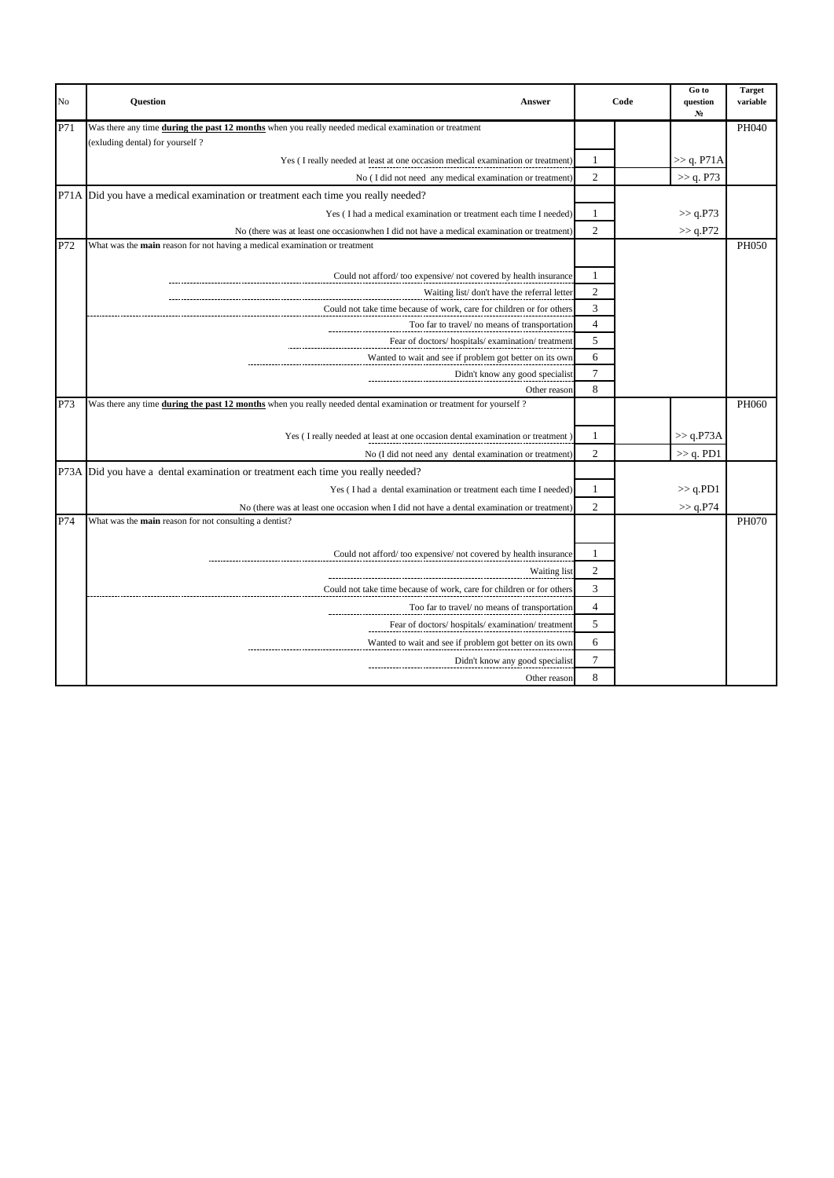| No  | <b>Question</b><br><b>Answer</b>                                                                                                  | Code           |  | Go to<br>question<br>N <sub>2</sub> | <b>Target</b><br>variable |
|-----|-----------------------------------------------------------------------------------------------------------------------------------|----------------|--|-------------------------------------|---------------------------|
| P71 | Was there any time during the past 12 months when you really needed medical examination or treatment                              |                |  |                                     | PH040                     |
|     | (exluding dental) for yourself?                                                                                                   |                |  |                                     |                           |
|     | Yes (I really needed at least at one occasion medical examination or treatment)                                                   | 1              |  | $\gg$ q. P71A                       |                           |
|     | No (I did not need any medical examination or treatment)                                                                          | $\overline{c}$ |  | >> q. P73                           |                           |
|     | P71A Did you have a medical examination or treatment each time you really needed?                                                 |                |  |                                     |                           |
|     | Yes (I had a medical examination or treatment each time I needed)                                                                 | 1              |  | $>>$ q.P73                          |                           |
|     | No (there was at least one occasion when I did not have a medical examination or treatment)                                       | $\overline{2}$ |  | >> q.P72                            |                           |
| P72 | What was the <b>main</b> reason for not having a medical examination or treatment                                                 |                |  |                                     | PH050                     |
|     |                                                                                                                                   |                |  |                                     |                           |
|     | Could not afford/too expensive/not covered by health insurance                                                                    | 1              |  |                                     |                           |
|     | Waiting list/don't have the referral letter                                                                                       | $\overline{c}$ |  |                                     |                           |
|     | Could not take time because of work, care for children or for others                                                              | 3              |  |                                     |                           |
|     | Too far to travel/ no means of transportation                                                                                     | $\overline{4}$ |  |                                     |                           |
|     | Fear of doctors/hospitals/examination/treatment                                                                                   | 5              |  |                                     |                           |
|     | Wanted to wait and see if problem got better on its own                                                                           | 6              |  |                                     |                           |
|     | Didn't know any good specialist                                                                                                   | $\overline{7}$ |  |                                     |                           |
| P73 | Other reason<br>Was there any time during the past 12 months when you really needed dental examination or treatment for yourself? | 8              |  |                                     | PH060                     |
|     |                                                                                                                                   |                |  |                                     |                           |
|     | Yes (I really needed at least at one occasion dental examination or treatment)                                                    | 1              |  | >> q.P73A                           |                           |
|     | No (I did not need any dental examination or treatment)                                                                           | $\overline{2}$ |  | $>> q.$ PD1                         |                           |
|     | P73A Did you have a dental examination or treatment each time you really needed?                                                  |                |  |                                     |                           |
|     | Yes (I had a dental examination or treatment each time I needed)                                                                  | 1              |  | $>>$ q.PD1                          |                           |
|     | No (there was at least one occasion when I did not have a dental examination or treatment)                                        | $\overline{2}$ |  | >> q.P74                            |                           |
| P74 | What was the main reason for not consulting a dentist?                                                                            |                |  |                                     | <b>PH070</b>              |
|     |                                                                                                                                   |                |  |                                     |                           |
|     | Could not afford/too expensive/not covered by health insurance                                                                    | 1              |  |                                     |                           |
|     | Waiting list                                                                                                                      | $\mathfrak{2}$ |  |                                     |                           |
|     | Could not take time because of work, care for children or for others                                                              | 3              |  |                                     |                           |
|     | Too far to travel/ no means of transportation                                                                                     | $\overline{4}$ |  |                                     |                           |
|     | Fear of doctors/hospitals/examination/treatment                                                                                   | 5              |  |                                     |                           |
|     |                                                                                                                                   | 6              |  |                                     |                           |
|     | Wanted to wait and see if problem got better on its own                                                                           |                |  |                                     |                           |
|     | Didn't know any good specialist                                                                                                   | $\tau$         |  |                                     |                           |
|     | Other reason                                                                                                                      | 8              |  |                                     |                           |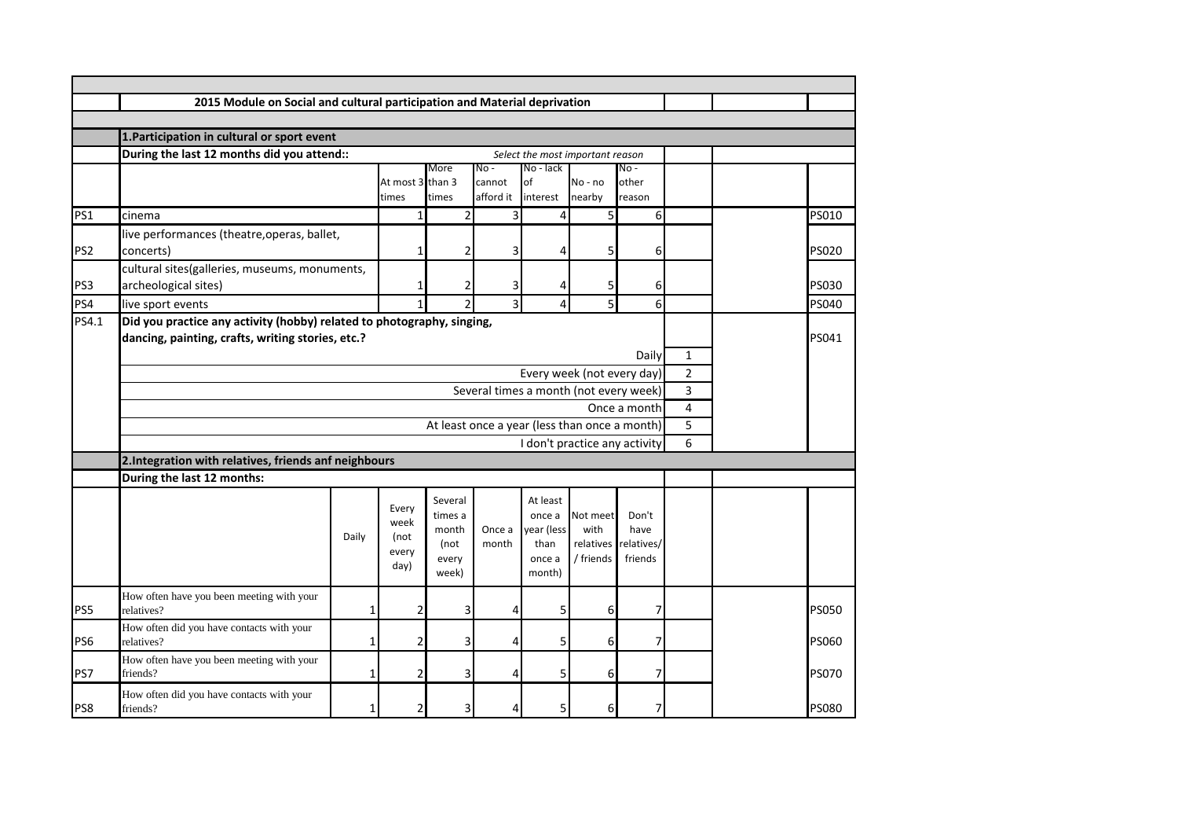|                 | 2015 Module on Social and cultural participation and Material deprivation                                                   |       |                                        |                                                       |                                        |                                                              |                                            |                                        |                |       |              |
|-----------------|-----------------------------------------------------------------------------------------------------------------------------|-------|----------------------------------------|-------------------------------------------------------|----------------------------------------|--------------------------------------------------------------|--------------------------------------------|----------------------------------------|----------------|-------|--------------|
|                 |                                                                                                                             |       |                                        |                                                       |                                        |                                                              |                                            |                                        |                |       |              |
|                 | 1. Participation in cultural or sport event                                                                                 |       |                                        |                                                       |                                        |                                                              |                                            |                                        |                |       |              |
|                 | During the last 12 months did you attend::<br>Select the most important reason                                              |       |                                        |                                                       |                                        |                                                              |                                            |                                        |                |       |              |
|                 |                                                                                                                             |       | At most 3 than 3<br>times              | More<br>times                                         | No -<br>cannot<br>afford it            | No - lack<br>of<br>interest                                  | No - no<br>nearby                          | No -<br>other<br>reason                |                |       |              |
| PS1             | cinema                                                                                                                      |       | $\mathbf{1}$                           | $\overline{2}$                                        | 3                                      | 4                                                            | 5                                          | 6                                      |                |       | PS010        |
| PS <sub>2</sub> | live performances (theatre, operas, ballet,<br>concerts)                                                                    |       | $\mathbf{1}$                           | 2                                                     | 3                                      | 4                                                            | 5                                          | 6                                      |                |       | <b>PS020</b> |
| PS3             | cultural sites(galleries, museums, monuments,<br>archeological sites)                                                       |       | 1                                      | 2                                                     | 3                                      | 4                                                            | 5                                          | 6                                      |                |       | PS030        |
| PS4             | live sport events                                                                                                           |       | 1                                      | $\overline{\phantom{a}}$                              | 3                                      | 4                                                            | 5                                          | 6                                      |                |       | PS040        |
| PS4.1           | Did you practice any activity (hobby) related to photography, singing,<br>dancing, painting, crafts, writing stories, etc.? |       |                                        |                                                       |                                        |                                                              |                                            | Daily                                  | $\mathbf{1}$   | PS041 |              |
|                 |                                                                                                                             |       |                                        |                                                       |                                        |                                                              | Every week (not every day)                 |                                        | $\overline{2}$ |       |              |
|                 |                                                                                                                             |       |                                        |                                                       | Several times a month (not every week) |                                                              |                                            |                                        | 3              |       |              |
|                 | Once a month<br>At least once a year (less than once a month)                                                               |       |                                        |                                                       |                                        |                                                              |                                            | 4                                      |                |       |              |
|                 |                                                                                                                             |       |                                        |                                                       |                                        |                                                              |                                            | 5                                      |                |       |              |
|                 |                                                                                                                             |       |                                        |                                                       |                                        |                                                              | I don't practice any activity              |                                        | 6              |       |              |
|                 | 2. Integration with relatives, friends anf neighbours                                                                       |       |                                        |                                                       |                                        |                                                              |                                            |                                        |                |       |              |
|                 | During the last 12 months:                                                                                                  |       |                                        |                                                       |                                        |                                                              |                                            |                                        |                |       |              |
|                 |                                                                                                                             | Daily | Every<br>week<br>(not<br>every<br>day) | Several<br>times a<br>month<br>(not<br>every<br>week) | Once a<br>month                        | At least<br>once a<br>vear (less<br>than<br>once a<br>month) | Not meet<br>with<br>relatives<br>/ friends | Don't<br>have<br>relatives/<br>friends |                |       |              |
| PS5             | How often have you been meeting with your<br>relatives?                                                                     | 1     | 2                                      | 3                                                     | 4                                      | 5                                                            | 6                                          | 7                                      |                |       | <b>PS050</b> |
| PS6             | How often did you have contacts with your<br>relatives?                                                                     | 1     | 2                                      | 3                                                     | 4                                      | 5                                                            | 6                                          | 7                                      |                |       | PS060        |
| PS7             | How often have you been meeting with your<br>friends?                                                                       | 1     | 2                                      | 3                                                     | 4                                      | 5                                                            | 6                                          | 7 <sup>1</sup>                         |                |       | <b>PS070</b> |
| PS8             | How often did you have contacts with your<br>friends?                                                                       |       | 2                                      | 3                                                     |                                        |                                                              | 6                                          |                                        |                |       | <b>PS080</b> |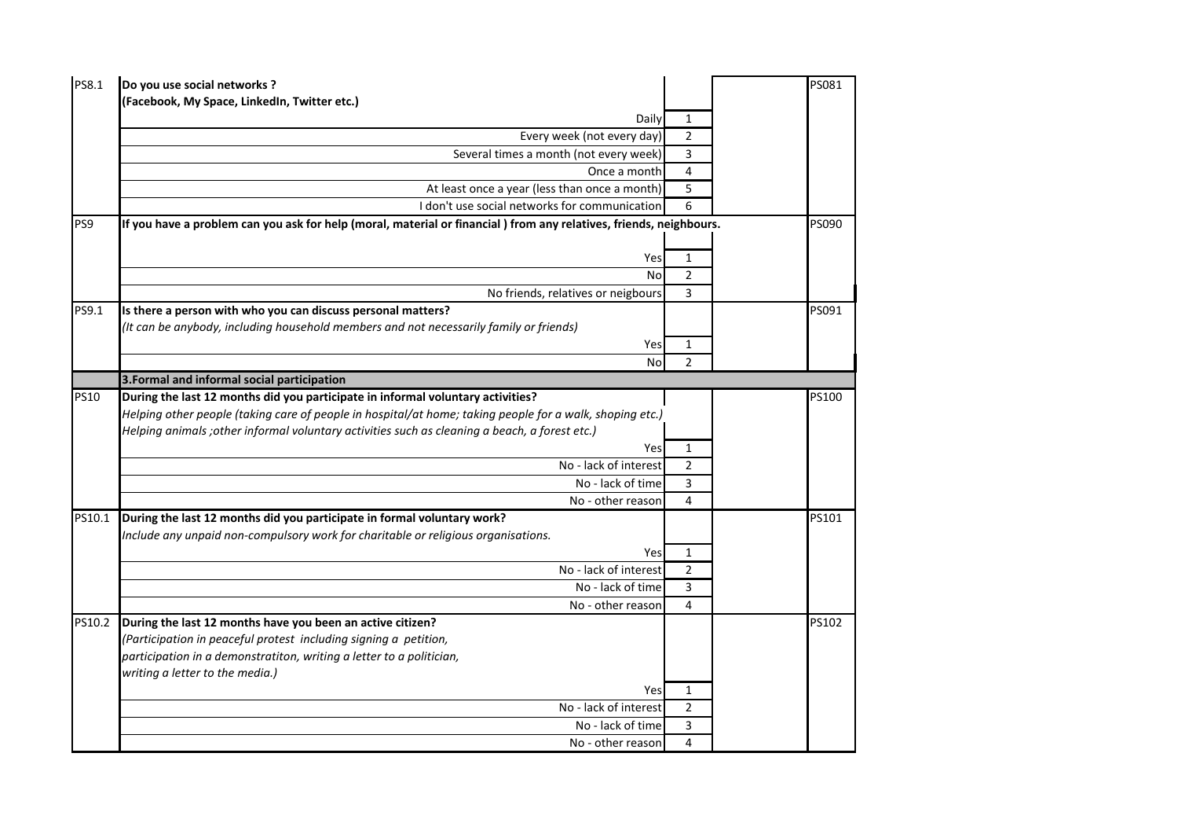| PS8.1       | Do you use social networks ?                                                                                       |                | PS081 |
|-------------|--------------------------------------------------------------------------------------------------------------------|----------------|-------|
|             | (Facebook, My Space, LinkedIn, Twitter etc.)                                                                       |                |       |
|             | Daily                                                                                                              | $\mathbf{1}$   |       |
|             | Every week (not every day)                                                                                         | $\overline{2}$ |       |
|             | Several times a month (not every week)                                                                             | 3              |       |
|             | Once a month                                                                                                       | 4              |       |
|             | At least once a year (less than once a month)                                                                      | 5              |       |
|             | I don't use social networks for communication                                                                      | 6              |       |
| PS9         | If you have a problem can you ask for help (moral, material or financial) from any relatives, friends, neighbours. |                | PS090 |
|             |                                                                                                                    |                |       |
|             | Yes                                                                                                                | $\mathbf{1}$   |       |
|             | <b>No</b>                                                                                                          | $\overline{2}$ |       |
|             | No friends, relatives or neigbours                                                                                 | 3              |       |
| PS9.1       | Is there a person with who you can discuss personal matters?                                                       |                | PS091 |
|             | (It can be anybody, including household members and not necessarily family or friends)                             |                |       |
|             | Yes                                                                                                                | $\mathbf{1}$   |       |
|             | <b>No</b>                                                                                                          | $\overline{2}$ |       |
|             | 3. Formal and informal social participation                                                                        |                |       |
| <b>PS10</b> | During the last 12 months did you participate in informal voluntary activities?                                    |                | PS100 |
|             | Helping other people (taking care of people in hospital/at home; taking people for a walk, shoping etc.)           |                |       |
|             | Helping animals ; other informal voluntary activities such as cleaning a beach, a forest etc.)                     |                |       |
|             | Yes                                                                                                                | 1              |       |
|             | No - lack of interest                                                                                              | $\overline{2}$ |       |
|             | No - lack of time                                                                                                  | 3              |       |
|             | No - other reason                                                                                                  | 4              |       |
| PS10.1      | During the last 12 months did you participate in formal voluntary work?                                            |                | PS101 |
|             | Include any unpaid non-compulsory work for charitable or religious organisations.                                  |                |       |
|             | Yes                                                                                                                | $\mathbf{1}$   |       |
|             | No - lack of interest                                                                                              | $\overline{2}$ |       |
|             | No - lack of time                                                                                                  | 3              |       |
|             | No - other reason                                                                                                  | 4              |       |
| PS10.2      | During the last 12 months have you been an active citizen?                                                         |                | PS102 |
|             | (Participation in peaceful protest including signing a petition,                                                   |                |       |
|             | participation in a demonstratiton, writing a letter to a politician,                                               |                |       |
|             | writing a letter to the media.)                                                                                    |                |       |
|             | Yes                                                                                                                | $\mathbf{1}$   |       |
|             | No - lack of interest                                                                                              | $\overline{2}$ |       |
|             | No - lack of time                                                                                                  | 3              |       |
|             | No - other reason                                                                                                  | 4              |       |